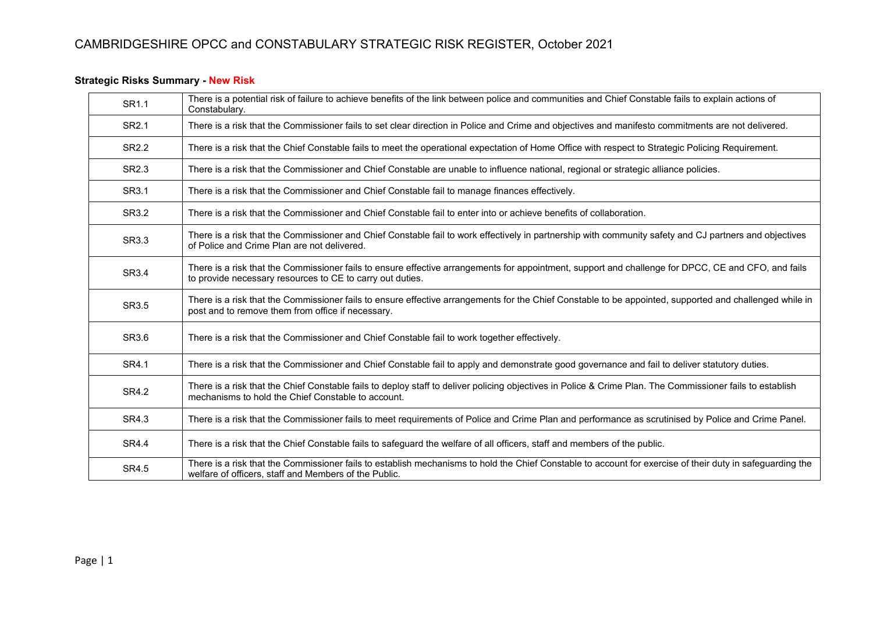# **Strategic Risks Summary - New Risk**

| SR1.1 | There is a potential risk of failure to achieve benefits of the link between police and communities and Chief Constable fails to explain actions of<br>Constabulary.                                               |
|-------|--------------------------------------------------------------------------------------------------------------------------------------------------------------------------------------------------------------------|
| SR2.1 | There is a risk that the Commissioner fails to set clear direction in Police and Crime and objectives and manifesto commitments are not delivered.                                                                 |
| SR2.2 | There is a risk that the Chief Constable fails to meet the operational expectation of Home Office with respect to Strategic Policing Requirement.                                                                  |
| SR2.3 | There is a risk that the Commissioner and Chief Constable are unable to influence national, regional or strategic alliance policies.                                                                               |
| SR3.1 | There is a risk that the Commissioner and Chief Constable fail to manage finances effectively.                                                                                                                     |
| SR3.2 | There is a risk that the Commissioner and Chief Constable fail to enter into or achieve benefits of collaboration.                                                                                                 |
| SR3.3 | There is a risk that the Commissioner and Chief Constable fail to work effectively in partnership with community safety and CJ partners and objectives<br>of Police and Crime Plan are not delivered.              |
| SR3.4 | There is a risk that the Commissioner fails to ensure effective arrangements for appointment, support and challenge for DPCC, CE and CFO, and fails<br>to provide necessary resources to CE to carry out duties.   |
| SR3.5 | There is a risk that the Commissioner fails to ensure effective arrangements for the Chief Constable to be appointed, supported and challenged while in<br>post and to remove them from office if necessary.       |
| SR3.6 | There is a risk that the Commissioner and Chief Constable fail to work together effectively.                                                                                                                       |
| SR4.1 | There is a risk that the Commissioner and Chief Constable fail to apply and demonstrate good governance and fail to deliver statutory duties.                                                                      |
| SR4.2 | There is a risk that the Chief Constable fails to deploy staff to deliver policing objectives in Police & Crime Plan. The Commissioner fails to establish<br>mechanisms to hold the Chief Constable to account.    |
| SR4.3 | There is a risk that the Commissioner fails to meet requirements of Police and Crime Plan and performance as scrutinised by Police and Crime Panel.                                                                |
| SR4.4 | There is a risk that the Chief Constable fails to safeguard the welfare of all officers, staff and members of the public.                                                                                          |
| SR4.5 | There is a risk that the Commissioner fails to establish mechanisms to hold the Chief Constable to account for exercise of their duty in safeguarding the<br>welfare of officers, staff and Members of the Public. |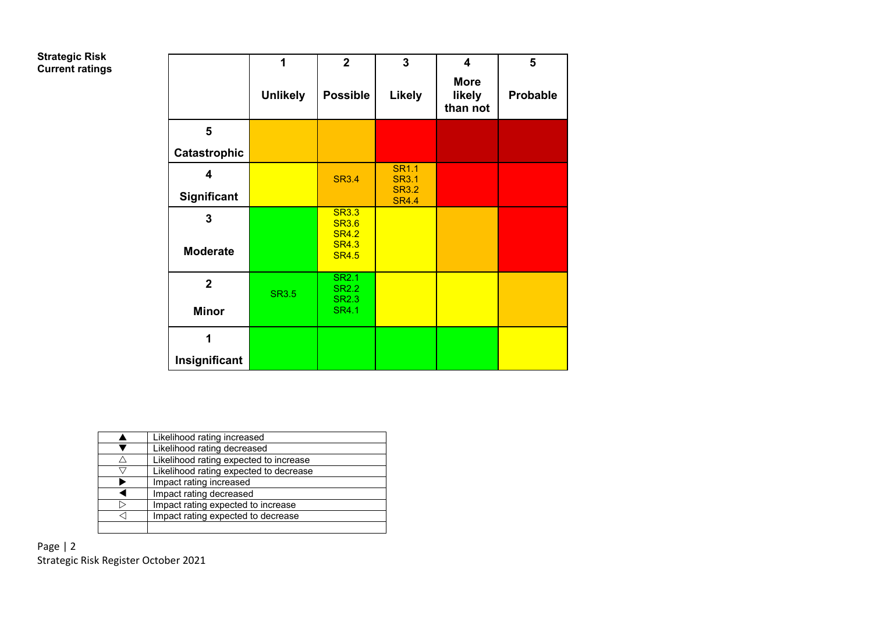### **Strategic Risk Current ratings**

|                     | 1               | $\overline{2}$                               | 3                            | $\overline{\mathbf{4}}$           | 5        |
|---------------------|-----------------|----------------------------------------------|------------------------------|-----------------------------------|----------|
|                     | <b>Unlikely</b> | <b>Possible</b>                              | <b>Likely</b>                | <b>More</b><br>likely<br>than not | Probable |
| 5                   |                 |                                              |                              |                                   |          |
| <b>Catastrophic</b> |                 |                                              |                              |                                   |          |
| 4                   |                 | <b>SR3.4</b>                                 | <b>SR1.1</b><br><b>SR3.1</b> |                                   |          |
| Significant         |                 |                                              | <b>SR3.2</b><br><b>SR4.4</b> |                                   |          |
| 3                   |                 | <b>SR3.3</b><br><b>SR3.6</b>                 |                              |                                   |          |
| <b>Moderate</b>     |                 | <b>SR4.2</b><br><b>SR4.3</b><br><b>SR4.5</b> |                              |                                   |          |
| $\overline{2}$      |                 | <b>SR2.1</b><br><b>SR2.2</b>                 |                              |                                   |          |
| <b>Minor</b>        | <b>SR3.5</b>    | <b>SR2.3</b><br><b>SR4.1</b>                 |                              |                                   |          |
| 1                   |                 |                                              |                              |                                   |          |
| Insignificant       |                 |                                              |                              |                                   |          |

| Likelihood rating increased            |
|----------------------------------------|
| Likelihood rating decreased            |
| Likelihood rating expected to increase |
| Likelihood rating expected to decrease |
| Impact rating increased                |
| Impact rating decreased                |
| Impact rating expected to increase     |
| Impact rating expected to decrease     |
|                                        |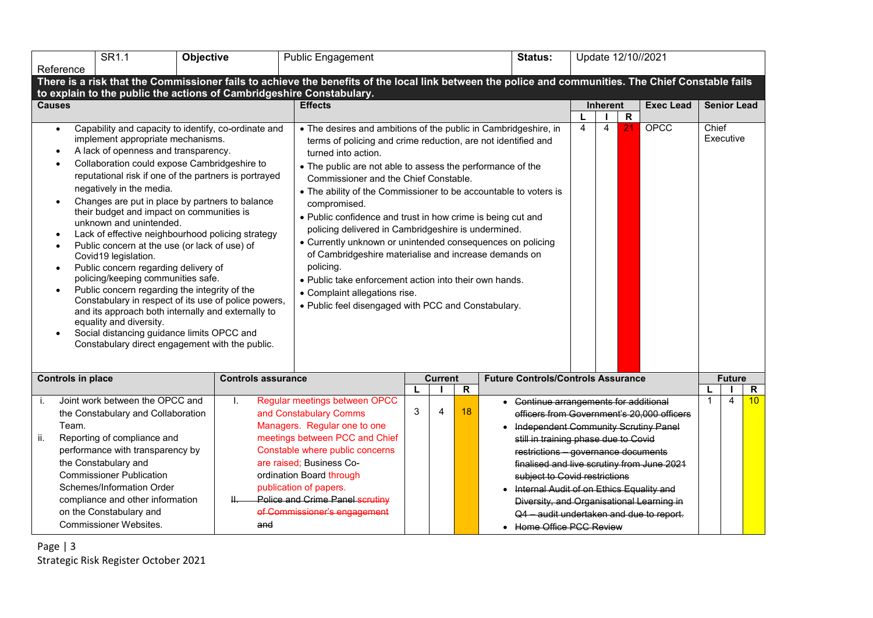|               |                                                                                                                                                                                                                                                                                                                                                                                   | SR1.1                                                                                                                                                                                                                                                                                                                                                                                                                                                                                                                                                                                                                                                                                                                                                                                                                                                                                                    | Objective |                                                                                                                                                                                                                                                                                                                                                                                                                                                                                                                                                                                                                                                                                                                                                                | <b>Public Engagement</b>                                                                                                                                                                                                                                                                                                 |   |                |         | Status:                                                                                                                                                                                                                                                                                                                                                                                                                                                       |   |          |              | Update 12/10//2021 |              |                    |                 |
|---------------|-----------------------------------------------------------------------------------------------------------------------------------------------------------------------------------------------------------------------------------------------------------------------------------------------------------------------------------------------------------------------------------|----------------------------------------------------------------------------------------------------------------------------------------------------------------------------------------------------------------------------------------------------------------------------------------------------------------------------------------------------------------------------------------------------------------------------------------------------------------------------------------------------------------------------------------------------------------------------------------------------------------------------------------------------------------------------------------------------------------------------------------------------------------------------------------------------------------------------------------------------------------------------------------------------------|-----------|----------------------------------------------------------------------------------------------------------------------------------------------------------------------------------------------------------------------------------------------------------------------------------------------------------------------------------------------------------------------------------------------------------------------------------------------------------------------------------------------------------------------------------------------------------------------------------------------------------------------------------------------------------------------------------------------------------------------------------------------------------------|--------------------------------------------------------------------------------------------------------------------------------------------------------------------------------------------------------------------------------------------------------------------------------------------------------------------------|---|----------------|---------|---------------------------------------------------------------------------------------------------------------------------------------------------------------------------------------------------------------------------------------------------------------------------------------------------------------------------------------------------------------------------------------------------------------------------------------------------------------|---|----------|--------------|--------------------|--------------|--------------------|-----------------|
|               | Reference                                                                                                                                                                                                                                                                                                                                                                         |                                                                                                                                                                                                                                                                                                                                                                                                                                                                                                                                                                                                                                                                                                                                                                                                                                                                                                          |           |                                                                                                                                                                                                                                                                                                                                                                                                                                                                                                                                                                                                                                                                                                                                                                | There is a risk that the Commissioner fails to achieve the benefits of the local link between the police and communities. The Chief Constable fails<br>to explain to the public the actions of Cambridgeshire Constabulary.                                                                                              |   |                |         |                                                                                                                                                                                                                                                                                                                                                                                                                                                               |   |          |              |                    |              |                    |                 |
| <b>Causes</b> |                                                                                                                                                                                                                                                                                                                                                                                   |                                                                                                                                                                                                                                                                                                                                                                                                                                                                                                                                                                                                                                                                                                                                                                                                                                                                                                          |           |                                                                                                                                                                                                                                                                                                                                                                                                                                                                                                                                                                                                                                                                                                                                                                | <b>Effects</b>                                                                                                                                                                                                                                                                                                           |   |                |         |                                                                                                                                                                                                                                                                                                                                                                                                                                                               | L | Inherent | $\mathsf{R}$ | <b>Exec Lead</b>   |              | <b>Senior Lead</b> |                 |
| $\bullet$     |                                                                                                                                                                                                                                                                                                                                                                                   | Capability and capacity to identify, co-ordinate and<br>implement appropriate mechanisms.<br>A lack of openness and transparency.<br>Collaboration could expose Cambridgeshire to<br>reputational risk if one of the partners is portrayed<br>negatively in the media.<br>Changes are put in place by partners to balance<br>their budget and impact on communities is<br>unknown and unintended.<br>Lack of effective neighbourhood policing strategy<br>Public concern at the use (or lack of use) of<br>Covid19 legislation.<br>Public concern regarding delivery of<br>policing/keeping communities safe.<br>Public concern regarding the integrity of the<br>Constabulary in respect of its use of police powers,<br>and its approach both internally and externally to<br>equality and diversity.<br>Social distancing guidance limits OPCC and<br>Constabulary direct engagement with the public. |           | • The desires and ambitions of the public in Cambridgeshire, in<br>terms of policing and crime reduction, are not identified and<br>turned into action.<br>• The public are not able to assess the performance of the<br>Commissioner and the Chief Constable.<br>• The ability of the Commissioner to be accountable to voters is<br>compromised.<br>• Public confidence and trust in how crime is being cut and<br>policing delivered in Cambridgeshire is undermined.<br>• Currently unknown or unintended consequences on policing<br>of Cambridgeshire materialise and increase demands on<br>policing.<br>. Public take enforcement action into their own hands.<br>• Complaint allegations rise.<br>. Public feel disengaged with PCC and Constabulary. |                                                                                                                                                                                                                                                                                                                          |   |                |         | $\overline{4}$                                                                                                                                                                                                                                                                                                                                                                                                                                                | 4 | 21       | OPCC         | Chief              | Executive    |                    |                 |
|               |                                                                                                                                                                                                                                                                                                                                                                                   |                                                                                                                                                                                                                                                                                                                                                                                                                                                                                                                                                                                                                                                                                                                                                                                                                                                                                                          |           | <b>Controls assurance</b>                                                                                                                                                                                                                                                                                                                                                                                                                                                                                                                                                                                                                                                                                                                                      |                                                                                                                                                                                                                                                                                                                          |   | <b>Current</b> |         | <b>Future Controls/Controls Assurance</b>                                                                                                                                                                                                                                                                                                                                                                                                                     |   |          |              |                    |              | <b>Future</b>      |                 |
| j.<br>ii.     | <b>Controls in place</b><br>Joint work between the OPCC and<br>the Constabulary and Collaboration<br>Team.<br>Reporting of compliance and<br>performance with transparency by<br>the Constabulary and<br><b>Commissioner Publication</b><br>Schemes/Information Order<br>compliance and other information<br>п<br>on the Constabulary and<br><b>Commissioner Websites.</b><br>and |                                                                                                                                                                                                                                                                                                                                                                                                                                                                                                                                                                                                                                                                                                                                                                                                                                                                                                          |           |                                                                                                                                                                                                                                                                                                                                                                                                                                                                                                                                                                                                                                                                                                                                                                | Regular meetings between OPCC<br>and Constabulary Comms<br>Managers. Regular one to one<br>meetings between PCC and Chief<br>Constable where public concerns<br>are raised; Business Co-<br>ordination Board through<br>publication of papers.<br><b>Police and Crime Panel scrutiny</b><br>of Commissioner's engagement | 3 | 4              | R<br>18 | • Continue arrangements for additional<br>efficers from Government's 20,000 officers<br>• Independent Community Scrutiny Panel<br>still in training phase due to Covid<br>restrictions - governance documents<br>finalised and live scrutiny from June 2021<br>subject to Covid restrictions<br>. Internal Audit of on Ethics Equality and<br>Diversity, and Organisational Learning in<br>Q4 audit undertaken and due to report.<br>• Home Office PCC Review |   |          |              |                    | $\mathbf{1}$ | $\overline{4}$     | ${\sf R}$<br>10 |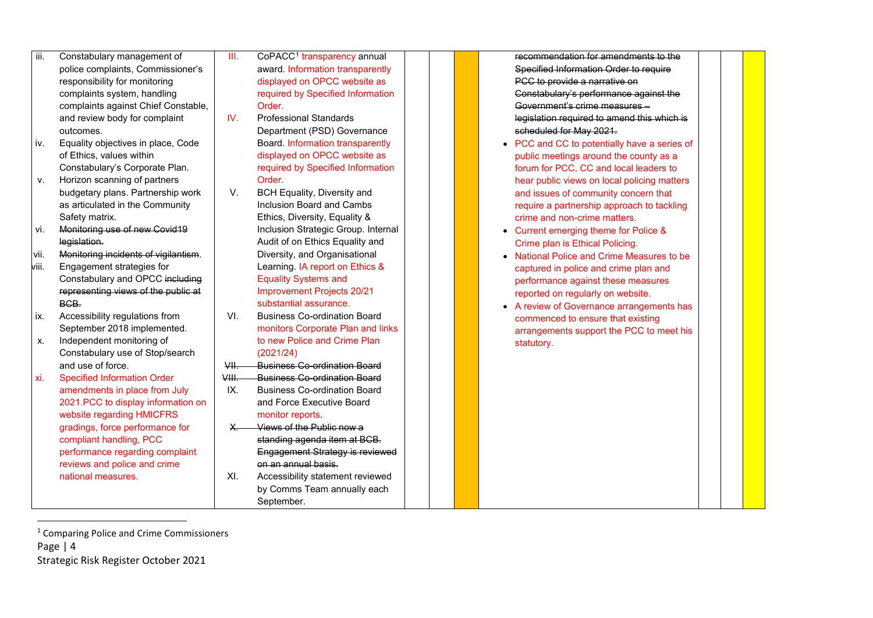- iii. Constabulary management of police complaints, Commissioner's responsibility for monitoring complaints system, handling complaints against Chief Constable, and review body for complaint outcomes.
- iv. Equality objectives in place, Code of Ethics, values within Constabulary's Corporate Plan.
- v. Horizon scanning of partners budgetary plans. Partnership work as articulated in the Community Safety matrix.
- vi. Monitoring use of new Covid19 legislation.
- vii. Monitoring incidents of vigilantism.
- viii. Engagement strategies for Constabulary and OPCC including representing views of the public at BCB.
- ix. Accessibility regulations from September 2018 implemented.
- x. Independent monitoring of Constabulary use of Stop/search and use of force.
- xi. Specified Information Order amendments in place from July 2021.PCC to display information on website regarding HMICFRS gradings, force performance for compliant handling, PCC performance regarding complaint reviews and police and crime national measures.
- III. CoPACC<sup>[1](#page-3-0)</sup> transparency annual award. Information transparently displayed on OPCC website as required by Specified Information Order.
- IV. Professional Standards Department (PSD) Governance Board. Information transparently displayed on OPCC website as required by Specified Information Order.
- V. BCH Equality, Diversity and Inclusion Board and Cambs Ethics, Diversity, Equality & Inclusion Strategic Group. Internal Audit of on Ethics Equality and Diversity, and Organisational Learning. IA report on Ethics & Equality Systems and Improvement Projects 20/21 substantial assurance.
- VI. Business Co-ordination Board monitors Corporate Plan and links to new Police and Crime Plan (2021/24)
- VII. Business Co-ordination Board VIII. Business Co-ordination Board
- IX. Business Co-ordination Board and Force Executive Board monitor reports.
- X. Views of the Public now a standing agenda item at BCB. Engagement Strategy is reviewed on an annual basis.
- XI. Accessibility statement reviewed by Comms Team annually each September.

<span id="page-3-0"></span>recommendation for amendments to the Specified Information Order to require PCC to provide a narrative on Constabulary's performance against the Government's crime measures – legislation required to amend this which is scheduled for May 2021.

- PCC and CC to potentially have a series of public meetings around the county as a forum for PCC, CC and local leaders to hear public views on local policing matters and issues of community concern that require a partnership approach to tackling crime and non-crime matters.
- Current emerging theme for Police & Crime plan is Ethical Policing.
- National Police and Crime Measures to be captured in police and crime plan and performance against these measures reported on regularly on website.
- A review of Governance arrangements has commenced to ensure that existing arrangements support the PCC to meet his statutory.

Page | 4 1 Comparing Police and Crime Commissioners

Strategic Risk Register October 2021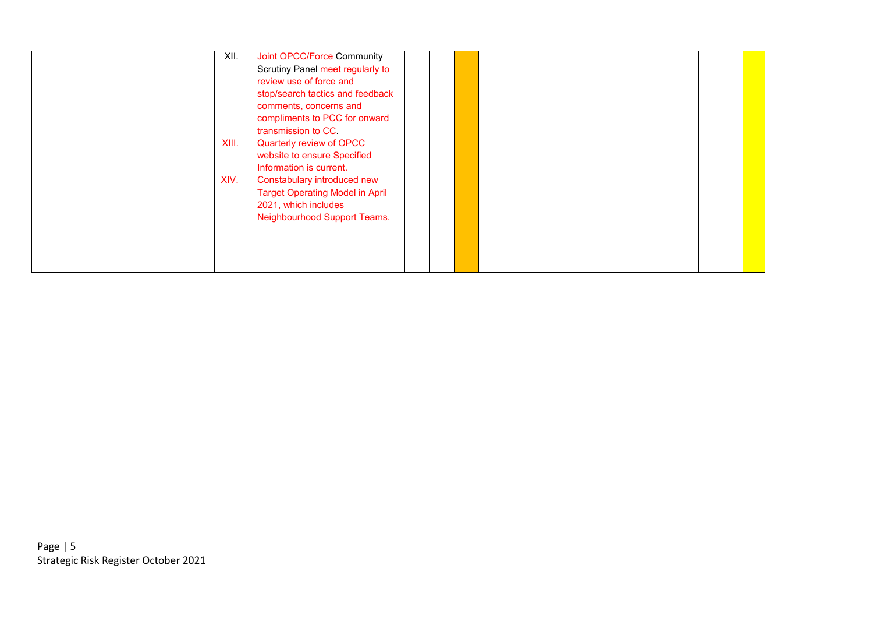| XII.  | Joint OPCC/Force Community             |  |  |  |  |
|-------|----------------------------------------|--|--|--|--|
|       | Scrutiny Panel meet regularly to       |  |  |  |  |
|       | review use of force and                |  |  |  |  |
|       | stop/search tactics and feedback       |  |  |  |  |
|       | comments, concerns and                 |  |  |  |  |
|       | compliments to PCC for onward          |  |  |  |  |
|       | transmission to CC.                    |  |  |  |  |
| XIII. | Quarterly review of OPCC               |  |  |  |  |
|       | website to ensure Specified            |  |  |  |  |
|       | Information is current.                |  |  |  |  |
| XIV.  | Constabulary introduced new            |  |  |  |  |
|       | <b>Target Operating Model in April</b> |  |  |  |  |
|       | 2021, which includes                   |  |  |  |  |
|       | Neighbourhood Support Teams.           |  |  |  |  |
|       |                                        |  |  |  |  |
|       |                                        |  |  |  |  |
|       |                                        |  |  |  |  |
|       |                                        |  |  |  |  |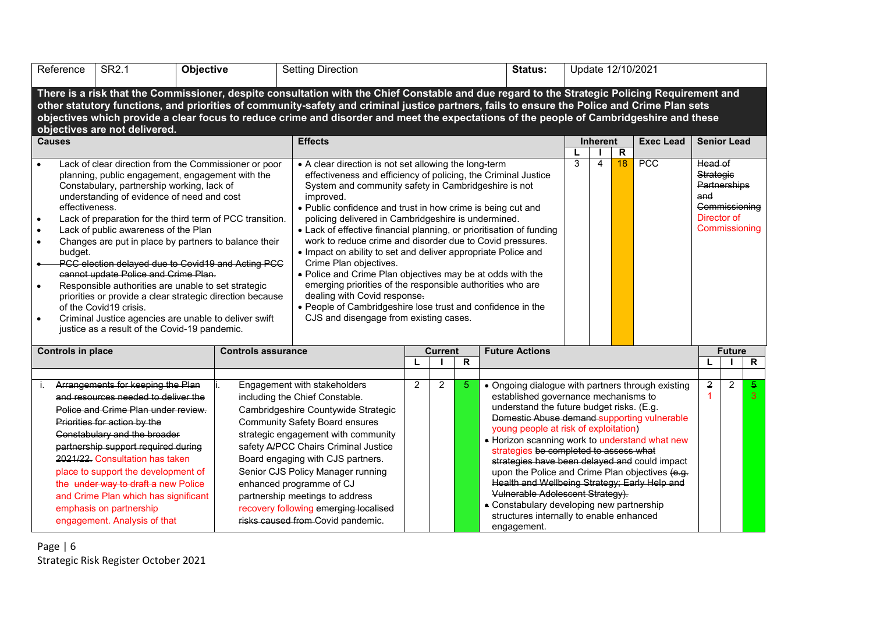| Reference                                                                                  | SR2.1                                                                                                                                                                                                                                                                                                                                                                                                                                                                                                                                                                                                                                                                                                                     | Objective |                           | <b>Setting Direction</b>                                                                                                                                                                                                                                                                                                                                                                                                                                                                                                                                                                                                                                                                                                                                                                                                |                |                |                         | Status:                                                                                                                                                                                                                                                                                                                                                                                                                                                                                                                                                                                                                     |   |                  |    | Update 12/10/2021 |                                                                                                     |                |              |
|--------------------------------------------------------------------------------------------|---------------------------------------------------------------------------------------------------------------------------------------------------------------------------------------------------------------------------------------------------------------------------------------------------------------------------------------------------------------------------------------------------------------------------------------------------------------------------------------------------------------------------------------------------------------------------------------------------------------------------------------------------------------------------------------------------------------------------|-----------|---------------------------|-------------------------------------------------------------------------------------------------------------------------------------------------------------------------------------------------------------------------------------------------------------------------------------------------------------------------------------------------------------------------------------------------------------------------------------------------------------------------------------------------------------------------------------------------------------------------------------------------------------------------------------------------------------------------------------------------------------------------------------------------------------------------------------------------------------------------|----------------|----------------|-------------------------|-----------------------------------------------------------------------------------------------------------------------------------------------------------------------------------------------------------------------------------------------------------------------------------------------------------------------------------------------------------------------------------------------------------------------------------------------------------------------------------------------------------------------------------------------------------------------------------------------------------------------------|---|------------------|----|-------------------|-----------------------------------------------------------------------------------------------------|----------------|--------------|
|                                                                                            | objectives are not delivered.                                                                                                                                                                                                                                                                                                                                                                                                                                                                                                                                                                                                                                                                                             |           |                           | There is a risk that the Commissioner, despite consultation with the Chief Constable and due regard to the Strategic Policing Requirement and<br>other statutory functions, and priorities of community-safety and criminal justice partners, fails to ensure the Police and Crime Plan sets<br>objectives which provide a clear focus to reduce crime and disorder and meet the expectations of the people of Cambridgeshire and these                                                                                                                                                                                                                                                                                                                                                                                 |                |                |                         |                                                                                                                                                                                                                                                                                                                                                                                                                                                                                                                                                                                                                             |   |                  |    |                   |                                                                                                     |                |              |
| <b>Causes</b>                                                                              |                                                                                                                                                                                                                                                                                                                                                                                                                                                                                                                                                                                                                                                                                                                           |           |                           | <b>Effects</b>                                                                                                                                                                                                                                                                                                                                                                                                                                                                                                                                                                                                                                                                                                                                                                                                          |                |                |                         |                                                                                                                                                                                                                                                                                                                                                                                                                                                                                                                                                                                                                             |   | Inherent         | R  | <b>Exec Lead</b>  | <b>Senior Lead</b>                                                                                  |                |              |
| $\bullet$<br>effectiveness.<br>$\bullet$<br>$\bullet$<br>budget.<br>$\bullet$<br>$\bullet$ | Lack of clear direction from the Commissioner or poor<br>planning, public engagement, engagement with the<br>Constabulary, partnership working, lack of<br>understanding of evidence of need and cost<br>Lack of preparation for the third term of PCC transition.<br>Lack of public awareness of the Plan<br>Changes are put in place by partners to balance their<br>PCC election delayed due to Covid19 and Acting PCC<br>cannot update Police and Crime Plan.<br>Responsible authorities are unable to set strategic<br>priorities or provide a clear strategic direction because<br>of the Covid19 crisis.<br>Criminal Justice agencies are unable to deliver swift<br>justice as a result of the Covid-19 pandemic. |           |                           | • A clear direction is not set allowing the long-term<br>effectiveness and efficiency of policing, the Criminal Justice<br>System and community safety in Cambridgeshire is not<br>improved.<br>• Public confidence and trust in how crime is being cut and<br>policing delivered in Cambridgeshire is undermined.<br>• Lack of effective financial planning, or prioritisation of funding<br>work to reduce crime and disorder due to Covid pressures.<br>• Impact on ability to set and deliver appropriate Police and<br>Crime Plan objectives.<br>• Police and Crime Plan objectives may be at odds with the<br>emerging priorities of the responsible authorities who are<br>dealing with Covid response.<br>• People of Cambridgeshire lose trust and confidence in the<br>CJS and disengage from existing cases. |                |                |                         |                                                                                                                                                                                                                                                                                                                                                                                                                                                                                                                                                                                                                             | 3 | $\boldsymbol{4}$ | 18 | PCC               | Head of<br><b>Strategic</b><br>Partnerships<br>and<br>Commissioning<br>Director of<br>Commissioning |                |              |
| <b>Controls in place</b>                                                                   |                                                                                                                                                                                                                                                                                                                                                                                                                                                                                                                                                                                                                                                                                                                           |           | <b>Controls assurance</b> |                                                                                                                                                                                                                                                                                                                                                                                                                                                                                                                                                                                                                                                                                                                                                                                                                         |                | <b>Current</b> | $\overline{\mathbf{R}}$ | <b>Future Actions</b>                                                                                                                                                                                                                                                                                                                                                                                                                                                                                                                                                                                                       |   |                  |    |                   |                                                                                                     | <b>Future</b>  | $\mathsf{R}$ |
|                                                                                            | Arrangements for keeping the Plan<br>and resources needed to deliver the<br>Police and Crime Plan under review.<br>Priorities for action by the<br>Constabulary and the broader<br>partnership support required during<br>2021/22. Consultation has taken<br>place to support the development of<br>the under way to draft a new Police<br>and Crime Plan which has significant<br>emphasis on partnership<br>engagement. Analysis of that                                                                                                                                                                                                                                                                                |           |                           | Engagement with stakeholders<br>including the Chief Constable.<br>Cambridgeshire Countywide Strategic<br><b>Community Safety Board ensures</b><br>strategic engagement with community<br>safety A/PCC Chairs Criminal Justice<br>Board engaging with CJS partners.<br>Senior CJS Policy Manager running<br>enhanced programme of CJ<br>partnership meetings to address<br>recovery following emerging localised<br>risks caused from Covid pandemic.                                                                                                                                                                                                                                                                                                                                                                    | $\overline{2}$ | 2              | 5.                      | • Ongoing dialogue with partners through existing<br>established governance mechanisms to<br>understand the future budget risks. (E.g.<br>Domestic Abuse demand supporting vulnerable<br>young people at risk of exploitation)<br>. Horizon scanning work to understand what new<br>strategies be completed to assess what<br>strategies have been delayed and could impact<br>upon the Police and Crime Plan objectives (e.g.<br>Health and Wellbeing Strategy; Early Help and<br>Vulnerable Adolescent Strategy).<br>• Constabulary developing new partnership<br>structures internally to enable enhanced<br>engagement. |   |                  |    |                   | 2<br>$\blacktriangleleft$                                                                           | $\overline{c}$ | 5<br>3       |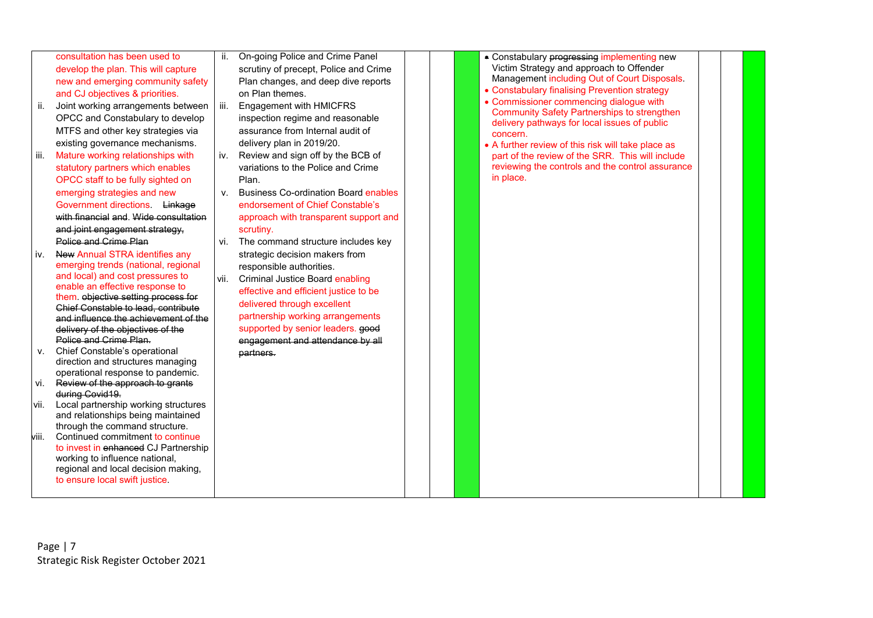- ii. Joint working arrangements between OPCC and Constabulary to develop MTFS and other key strategies via existing governance mechanisms.
- iii. Mature working relationships with statutory partners which enables OPCC staff to be fully sighted on emerging strategies and new Government directions. Linkage with financial and. Wide consultation and joint engagement strategy. Police and Crime Plan
- iv. New Annual STRA identifies any emerging trends (national, regional and local) and cost pressures to enable an effective response to them. objective setting process for Chief Constable to lead, contribute and influence the achievement of the delivery of the objectives of the Police and Crime Plan.
- v. Chief Constable's operational direction and structures managing operational response to pandemic.
- vi. Review of the approach to grants during Covid19.
- vii. Local partnership working structures and relationships being maintained through the command structure.
- viii. Continued commitment to continue to invest in enhanced CJ Partnership working to influence national, regional and local decision making, to ensure local swift justice.

ii. On-going Police and Crime Panel scrutiny of precept, Police and Crime Plan changes, and deep dive reports on Plan themes.

- iii. Engagement with HMICFRS inspection regime and reasonable assurance from Internal audit of delivery plan in 2019/20.
- iv. Review and sign off by the BCB of variations to the Police and Crime Plan.
- v. Business Co-ordination Board enables endorsement of Chief Constable's approach with transparent support and scrutiny.
- vi. The command structure includes key strategic decision makers from responsible authorities.
- vii. Criminal Justice Board enabling effective and efficient justice to be delivered through excellent partnership working arrangements supported by senior leaders. good engagement and attendance by all partners.
- Constabulary progressing implementing new Victim Strategy and approach to Offender Management including Out of Court Disposals.
- Constabulary finalising Prevention strategy
- Commissioner commencing dialogue with Community Safety Partnerships to strengthen delivery pathways for local issues of public concern.
- A further review of this risk will take place as part of the review of the SRR. This will include reviewing the controls and the control assurance in place.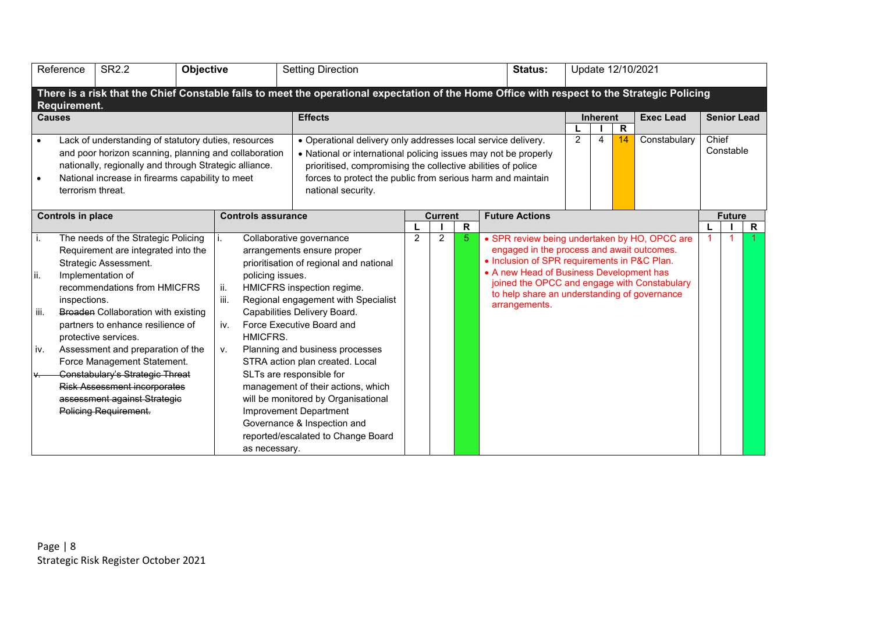|                          | Reference                                                                                                                                                                                                                                                             | <b>SR2.2</b>                                                                                                                                                                                                                                                                                                                                                                                                                                                        | Objective |                                                                           | <b>Setting Direction</b> |                                                                                                                                                                                                                                                                                                                                                                                                                                                                                                                   |                |                |                    | Status: |                                                                                                                                                                                                                                                                                                          |   |                 | Update 12/10/2021  |                  |       |                    |              |
|--------------------------|-----------------------------------------------------------------------------------------------------------------------------------------------------------------------------------------------------------------------------------------------------------------------|---------------------------------------------------------------------------------------------------------------------------------------------------------------------------------------------------------------------------------------------------------------------------------------------------------------------------------------------------------------------------------------------------------------------------------------------------------------------|-----------|---------------------------------------------------------------------------|--------------------------|-------------------------------------------------------------------------------------------------------------------------------------------------------------------------------------------------------------------------------------------------------------------------------------------------------------------------------------------------------------------------------------------------------------------------------------------------------------------------------------------------------------------|----------------|----------------|--------------------|---------|----------------------------------------------------------------------------------------------------------------------------------------------------------------------------------------------------------------------------------------------------------------------------------------------------------|---|-----------------|--------------------|------------------|-------|--------------------|--------------|
|                          | Requirement.                                                                                                                                                                                                                                                          |                                                                                                                                                                                                                                                                                                                                                                                                                                                                     |           |                                                                           |                          | There is a risk that the Chief Constable fails to meet the operational expectation of the Home Office with respect to the Strategic Policing                                                                                                                                                                                                                                                                                                                                                                      |                |                |                    |         |                                                                                                                                                                                                                                                                                                          |   |                 |                    |                  |       |                    |              |
|                          | <b>Causes</b>                                                                                                                                                                                                                                                         |                                                                                                                                                                                                                                                                                                                                                                                                                                                                     |           |                                                                           |                          | <b>Effects</b>                                                                                                                                                                                                                                                                                                                                                                                                                                                                                                    |                |                |                    |         |                                                                                                                                                                                                                                                                                                          |   | <b>Inherent</b> |                    | <b>Exec Lead</b> |       | <b>Senior Lead</b> |              |
|                          | Lack of understanding of statutory duties, resources<br>and poor horizon scanning, planning and collaboration<br>nationally, regionally and through Strategic alliance.<br>National increase in firearms capability to meet<br>terrorism threat.<br>Controls in place |                                                                                                                                                                                                                                                                                                                                                                                                                                                                     |           |                                                                           |                          | • Operational delivery only addresses local service delivery.<br>• National or international policing issues may not be properly<br>prioritised, compromising the collective abilities of police<br>forces to protect the public from serious harm and maintain<br>national security.                                                                                                                                                                                                                             |                |                |                    |         |                                                                                                                                                                                                                                                                                                          | 2 | 4               | $\mathsf{R}$<br>14 | Constabulary     | Chief | Constable          |              |
|                          |                                                                                                                                                                                                                                                                       |                                                                                                                                                                                                                                                                                                                                                                                                                                                                     |           |                                                                           |                          |                                                                                                                                                                                                                                                                                                                                                                                                                                                                                                                   |                |                |                    |         |                                                                                                                                                                                                                                                                                                          |   |                 |                    |                  |       |                    |              |
|                          |                                                                                                                                                                                                                                                                       |                                                                                                                                                                                                                                                                                                                                                                                                                                                                     |           | <b>Controls assurance</b>                                                 |                          |                                                                                                                                                                                                                                                                                                                                                                                                                                                                                                                   |                | <b>Current</b> |                    |         | <b>Future Actions</b>                                                                                                                                                                                                                                                                                    |   |                 |                    |                  |       | <b>Future</b>      |              |
|                          |                                                                                                                                                                                                                                                                       |                                                                                                                                                                                                                                                                                                                                                                                                                                                                     |           |                                                                           |                          |                                                                                                                                                                                                                                                                                                                                                                                                                                                                                                                   | $\overline{2}$ | $\overline{2}$ | $\mathsf{R}$<br>5. |         |                                                                                                                                                                                                                                                                                                          |   |                 |                    |                  |       | -1                 | $\mathsf{R}$ |
| L.<br>II.<br>iii.<br>iv. | inspections.                                                                                                                                                                                                                                                          | The needs of the Strategic Policing<br>Requirement are integrated into the<br>Strategic Assessment.<br>Implementation of<br>recommendations from HMICFRS<br>Broaden Collaboration with existing<br>partners to enhance resilience of<br>protective services.<br>Assessment and preparation of the<br>Force Management Statement.<br>Constabulary's Strategic Threat<br><b>Risk Assessment incorporates</b><br>assessment against Strategie<br>Policing Requirement. |           | policing issues.<br>ii.<br>iii.<br>iv.<br>HMICFRS.<br>٧.<br>as necessary. |                          | Collaborative governance<br>arrangements ensure proper<br>prioritisation of regional and national<br>HMICFRS inspection regime.<br>Regional engagement with Specialist<br>Capabilities Delivery Board.<br>Force Executive Board and<br>Planning and business processes<br>STRA action plan created. Local<br>SLTs are responsible for<br>management of their actions, which<br>will be monitored by Organisational<br>Improvement Department<br>Governance & Inspection and<br>reported/escalated to Change Board |                |                |                    |         | • SPR review being undertaken by HO, OPCC are<br>engaged in the process and await outcomes.<br>• Inclusion of SPR requirements in P&C Plan.<br>• A new Head of Business Development has<br>joined the OPCC and engage with Constabulary<br>to help share an understanding of governance<br>arrangements. |   |                 |                    |                  |       |                    |              |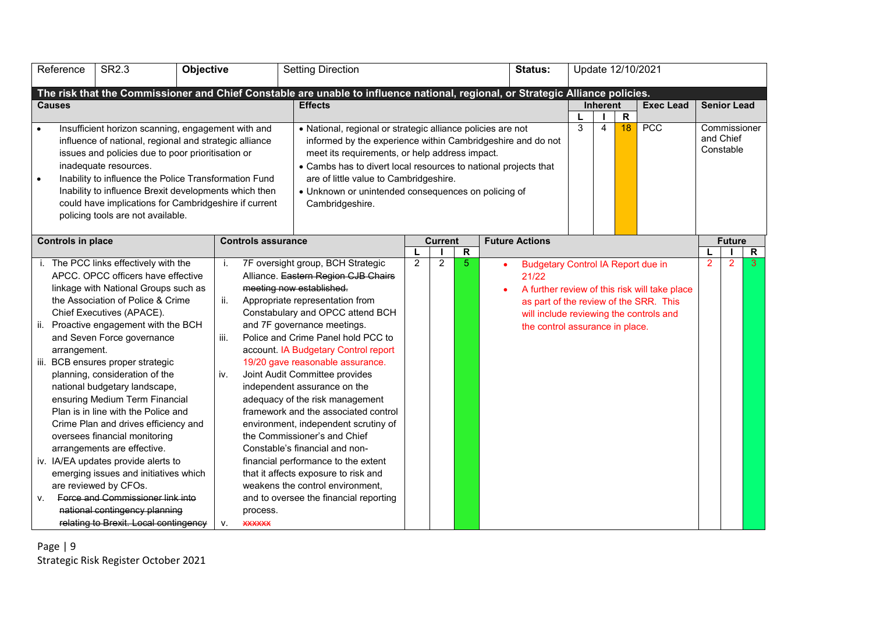|           | Reference                | SR2.3                                                  | <b>Objective</b> |      |                           | <b>Setting Direction</b>                                                                                                       |                |                |              |  | Status:                                   |   |                |              | Update 12/10/2021                             |                    |                |                |
|-----------|--------------------------|--------------------------------------------------------|------------------|------|---------------------------|--------------------------------------------------------------------------------------------------------------------------------|----------------|----------------|--------------|--|-------------------------------------------|---|----------------|--------------|-----------------------------------------------|--------------------|----------------|----------------|
|           |                          |                                                        |                  |      |                           | The risk that the Commissioner and Chief Constable are unable to influence national, regional, or Strategic Alliance policies. |                |                |              |  |                                           |   |                |              |                                               |                    |                |                |
|           | <b>Causes</b>            |                                                        |                  |      |                           | <b>Effects</b>                                                                                                                 |                |                |              |  |                                           |   | Inherent       |              | <b>Exec Lead</b>                              | <b>Senior Lead</b> |                |                |
|           |                          |                                                        |                  |      |                           |                                                                                                                                |                |                |              |  |                                           |   |                | $\mathsf{R}$ |                                               |                    |                |                |
| $\bullet$ |                          | Insufficient horizon scanning, engagement with and     |                  |      |                           | • National, regional or strategic alliance policies are not                                                                    |                |                |              |  |                                           | 3 | $\overline{4}$ | 18           | PCC                                           |                    |                | Commissioner   |
|           |                          | influence of national, regional and strategic alliance |                  |      |                           | informed by the experience within Cambridgeshire and do not                                                                    |                |                |              |  |                                           |   |                |              |                                               | and Chief          |                |                |
|           |                          | issues and policies due to poor prioritisation or      |                  |      |                           | meet its requirements, or help address impact.                                                                                 |                |                |              |  |                                           |   |                |              |                                               | Constable          |                |                |
|           |                          | inadequate resources.                                  |                  |      |                           | • Cambs has to divert local resources to national projects that                                                                |                |                |              |  |                                           |   |                |              |                                               |                    |                |                |
| $\bullet$ |                          | Inability to influence the Police Transformation Fund  |                  |      |                           | are of little value to Cambridgeshire.                                                                                         |                |                |              |  |                                           |   |                |              |                                               |                    |                |                |
|           |                          | Inability to influence Brexit developments which then  |                  |      |                           | • Unknown or unintended consequences on policing of                                                                            |                |                |              |  |                                           |   |                |              |                                               |                    |                |                |
|           |                          | could have implications for Cambridgeshire if current  |                  |      |                           | Cambridgeshire.                                                                                                                |                |                |              |  |                                           |   |                |              |                                               |                    |                |                |
|           |                          | policing tools are not available.                      |                  |      |                           |                                                                                                                                |                |                |              |  |                                           |   |                |              |                                               |                    |                |                |
|           |                          |                                                        |                  |      |                           |                                                                                                                                |                |                |              |  |                                           |   |                |              |                                               |                    |                |                |
|           | <b>Controls in place</b> |                                                        |                  |      | <b>Controls assurance</b> |                                                                                                                                |                | <b>Current</b> |              |  | <b>Future Actions</b>                     |   |                |              |                                               |                    | <b>Future</b>  |                |
|           |                          |                                                        |                  |      |                           |                                                                                                                                |                |                | $\mathsf{R}$ |  |                                           |   |                |              |                                               |                    |                | $\mathsf{R}$   |
|           |                          | i. The PCC links effectively with the                  |                  | İ.   |                           | 7F oversight group, BCH Strategic                                                                                              | $\overline{2}$ | $\overline{c}$ | 5            |  | <b>Budgetary Control IA Report due in</b> |   |                |              |                                               | 2                  | $\overline{2}$ | $\overline{3}$ |
|           |                          | APCC. OPCC officers have effective                     |                  |      |                           | Alliance. Eastern Region CJB Chairs                                                                                            |                |                |              |  | 21/22                                     |   |                |              |                                               |                    |                |                |
|           |                          | linkage with National Groups such as                   |                  |      |                           | meeting now established.                                                                                                       |                |                |              |  |                                           |   |                |              | A further review of this risk will take place |                    |                |                |
|           |                          | the Association of Police & Crime                      |                  | ii.  |                           | Appropriate representation from                                                                                                |                |                |              |  | as part of the review of the SRR. This    |   |                |              |                                               |                    |                |                |
|           |                          | Chief Executives (APACE).                              |                  |      |                           | Constabulary and OPCC attend BCH                                                                                               |                |                |              |  | will include reviewing the controls and   |   |                |              |                                               |                    |                |                |
|           |                          | ii. Proactive engagement with the BCH                  |                  |      |                           | and 7F governance meetings.                                                                                                    |                |                |              |  | the control assurance in place.           |   |                |              |                                               |                    |                |                |
|           |                          | and Seven Force governance                             |                  | iii. |                           | Police and Crime Panel hold PCC to                                                                                             |                |                |              |  |                                           |   |                |              |                                               |                    |                |                |
|           | arrangement.             |                                                        |                  |      |                           | account. IA Budgetary Control report                                                                                           |                |                |              |  |                                           |   |                |              |                                               |                    |                |                |
|           |                          | iii. BCB ensures proper strategic                      |                  |      |                           | 19/20 gave reasonable assurance.                                                                                               |                |                |              |  |                                           |   |                |              |                                               |                    |                |                |
|           |                          | planning, consideration of the                         |                  | iv.  |                           | Joint Audit Committee provides                                                                                                 |                |                |              |  |                                           |   |                |              |                                               |                    |                |                |
|           |                          | national budgetary landscape,                          |                  |      |                           | independent assurance on the                                                                                                   |                |                |              |  |                                           |   |                |              |                                               |                    |                |                |
|           |                          | ensuring Medium Term Financial                         |                  |      |                           | adequacy of the risk management                                                                                                |                |                |              |  |                                           |   |                |              |                                               |                    |                |                |
|           |                          | Plan is in line with the Police and                    |                  |      |                           | framework and the associated control                                                                                           |                |                |              |  |                                           |   |                |              |                                               |                    |                |                |
|           |                          | Crime Plan and drives efficiency and                   |                  |      |                           | environment, independent scrutiny of                                                                                           |                |                |              |  |                                           |   |                |              |                                               |                    |                |                |
|           |                          | oversees financial monitoring                          |                  |      |                           | the Commissioner's and Chief                                                                                                   |                |                |              |  |                                           |   |                |              |                                               |                    |                |                |
|           |                          | arrangements are effective.                            |                  |      |                           | Constable's financial and non-                                                                                                 |                |                |              |  |                                           |   |                |              |                                               |                    |                |                |
|           |                          | iv. IA/EA updates provide alerts to                    |                  |      |                           | financial performance to the extent                                                                                            |                |                |              |  |                                           |   |                |              |                                               |                    |                |                |
|           |                          | emerging issues and initiatives which                  |                  |      |                           | that it affects exposure to risk and                                                                                           |                |                |              |  |                                           |   |                |              |                                               |                    |                |                |
|           |                          | are reviewed by CFOs.                                  |                  |      |                           | weakens the control environment,                                                                                               |                |                |              |  |                                           |   |                |              |                                               |                    |                |                |
| v.        |                          | Force and Commissioner link into                       |                  |      |                           | and to oversee the financial reporting                                                                                         |                |                |              |  |                                           |   |                |              |                                               |                    |                |                |
|           |                          | national contingency planning                          |                  |      | process.                  |                                                                                                                                |                |                |              |  |                                           |   |                |              |                                               |                    |                |                |
|           |                          | relating to Brexit. Local contingency                  |                  | v.   | <b>XXXXXX</b>             |                                                                                                                                |                |                |              |  |                                           |   |                |              |                                               |                    |                |                |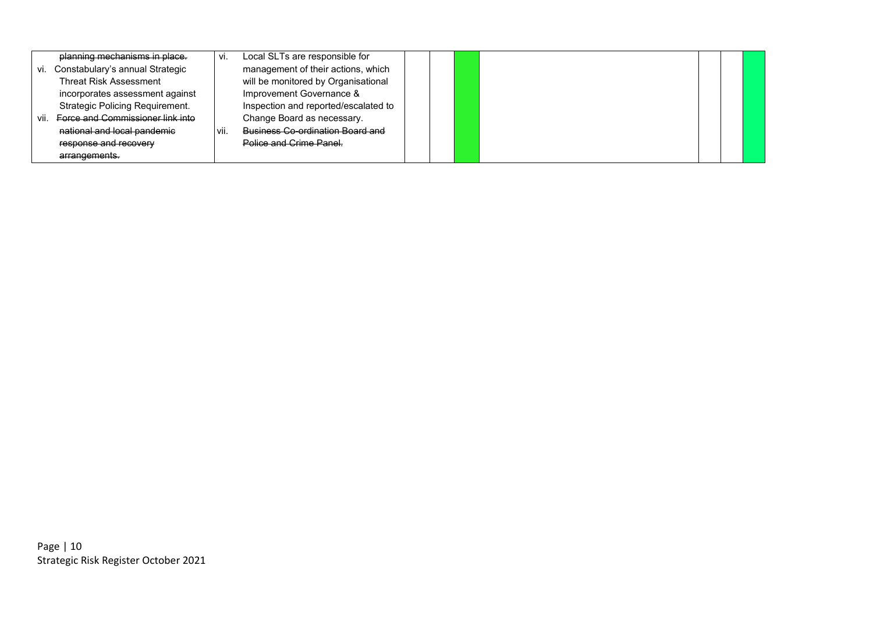|      | planning mechanisms in place.          | VI. | Local SLTs are responsible for          |  |  |  |  |
|------|----------------------------------------|-----|-----------------------------------------|--|--|--|--|
| vi.  | Constabulary's annual Strategic        |     | management of their actions, which      |  |  |  |  |
|      | <b>Threat Risk Assessment</b>          |     | will be monitored by Organisational     |  |  |  |  |
|      | incorporates assessment against        |     | Improvement Governance &                |  |  |  |  |
|      | <b>Strategic Policing Requirement.</b> |     | Inspection and reported/escalated to    |  |  |  |  |
| vii. | Force and Commissioner link into       |     | Change Board as necessary.              |  |  |  |  |
|      | national and local pandemic            |     | <b>Business Co-ordination Board and</b> |  |  |  |  |
|      | response and recovery                  |     | Police and Crime Panel.                 |  |  |  |  |
|      | arrangements.                          |     |                                         |  |  |  |  |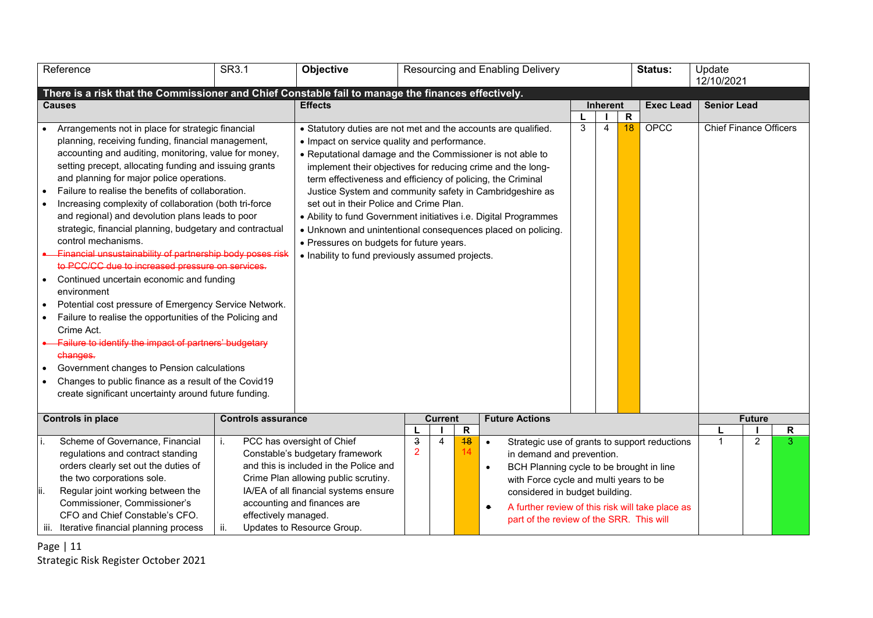|                   | Reference                                                                                                                                                                                                                                                                                                                                                                                                                                                                                                                                                                                                                                                                                                                                                                                                                                                                                                                                                                                                                                                                        | SR3.1                             | Objective<br>Resourcing and Enabling Delivery<br>Status:                                                                                                                                                                                                                                                                                                                                                                                                                                                                                                                                                                                             |                     |                |                         |                                                                                                                                                                                                                                                                                                                                           |                |                 |              |                  | Update<br>12/10/2021          |                |         |
|-------------------|----------------------------------------------------------------------------------------------------------------------------------------------------------------------------------------------------------------------------------------------------------------------------------------------------------------------------------------------------------------------------------------------------------------------------------------------------------------------------------------------------------------------------------------------------------------------------------------------------------------------------------------------------------------------------------------------------------------------------------------------------------------------------------------------------------------------------------------------------------------------------------------------------------------------------------------------------------------------------------------------------------------------------------------------------------------------------------|-----------------------------------|------------------------------------------------------------------------------------------------------------------------------------------------------------------------------------------------------------------------------------------------------------------------------------------------------------------------------------------------------------------------------------------------------------------------------------------------------------------------------------------------------------------------------------------------------------------------------------------------------------------------------------------------------|---------------------|----------------|-------------------------|-------------------------------------------------------------------------------------------------------------------------------------------------------------------------------------------------------------------------------------------------------------------------------------------------------------------------------------------|----------------|-----------------|--------------|------------------|-------------------------------|----------------|---------|
|                   | There is a risk that the Commissioner and Chief Constable fail to manage the finances effectively.<br><b>Causes</b>                                                                                                                                                                                                                                                                                                                                                                                                                                                                                                                                                                                                                                                                                                                                                                                                                                                                                                                                                              |                                   | <b>Effects</b>                                                                                                                                                                                                                                                                                                                                                                                                                                                                                                                                                                                                                                       |                     |                |                         |                                                                                                                                                                                                                                                                                                                                           |                | <b>Inherent</b> | $\mathsf{R}$ | <b>Exec Lead</b> | <b>Senior Lead</b>            |                |         |
|                   | Arrangements not in place for strategic financial<br>planning, receiving funding, financial management,<br>accounting and auditing, monitoring, value for money,<br>setting precept, allocating funding and issuing grants<br>and planning for major police operations.<br>Failure to realise the benefits of collaboration.<br>Increasing complexity of collaboration (both tri-force<br>and regional) and devolution plans leads to poor<br>strategic, financial planning, budgetary and contractual<br>control mechanisms.<br>Financial unsustainability of partnership body poses risk<br>to PCC/CC due to increased pressure on services.<br>Continued uncertain economic and funding<br>environment<br>Potential cost pressure of Emergency Service Network.<br>Failure to realise the opportunities of the Policing and<br>Crime Act.<br>Failure to identify the impact of partners' budgetary<br>changes.<br>Government changes to Pension calculations<br>Changes to public finance as a result of the Covid19<br>create significant uncertainty around future funding. |                                   | • Statutory duties are not met and the accounts are qualified.<br>• Impact on service quality and performance.<br>• Reputational damage and the Commissioner is not able to<br>implement their objectives for reducing crime and the long-<br>term effectiveness and efficiency of policing, the Criminal<br>Justice System and community safety in Cambridgeshire as<br>set out in their Police and Crime Plan.<br>• Ability to fund Government initiatives i.e. Digital Programmes<br>• Unknown and unintentional consequences placed on policing.<br>• Pressures on budgets for future years.<br>· Inability to fund previously assumed projects. |                     |                |                         |                                                                                                                                                                                                                                                                                                                                           | $\overline{3}$ | $\overline{4}$  | 18           | OPCC             | <b>Chief Finance Officers</b> |                |         |
|                   | <b>Controls in place</b>                                                                                                                                                                                                                                                                                                                                                                                                                                                                                                                                                                                                                                                                                                                                                                                                                                                                                                                                                                                                                                                         | <b>Controls assurance</b>         |                                                                                                                                                                                                                                                                                                                                                                                                                                                                                                                                                                                                                                                      |                     | <b>Current</b> |                         | <b>Future Actions</b>                                                                                                                                                                                                                                                                                                                     |                |                 |              |                  |                               | <b>Future</b>  |         |
| li.<br>lii.<br>Ш. | Scheme of Governance, Financial<br>regulations and contract standing<br>orders clearly set out the duties of<br>the two corporations sole.<br>Regular joint working between the<br>Commissioner, Commissioner's<br>CFO and Chief Constable's CFO.<br>Iterative financial planning process                                                                                                                                                                                                                                                                                                                                                                                                                                                                                                                                                                                                                                                                                                                                                                                        | i.<br>effectively managed.<br>ii. | PCC has oversight of Chief<br>Constable's budgetary framework<br>and this is included in the Police and<br>Crime Plan allowing public scrutiny.<br>IA/EA of all financial systems ensure<br>accounting and finances are<br>Updates to Resource Group.                                                                                                                                                                                                                                                                                                                                                                                                | 3<br>$\overline{2}$ | $\overline{4}$ | $\mathbf R$<br>48<br>14 | Strategic use of grants to support reductions<br>$\bullet$<br>in demand and prevention.<br>BCH Planning cycle to be brought in line<br>$\bullet$<br>with Force cycle and multi years to be<br>considered in budget building.<br>A further review of this risk will take place as<br>$\bullet$<br>part of the review of the SRR. This will |                |                 |              |                  | L<br>$\mathbf{1}$             | $\overline{2}$ | R<br>3. |

Page | 11 Strategic Risk Register October 2021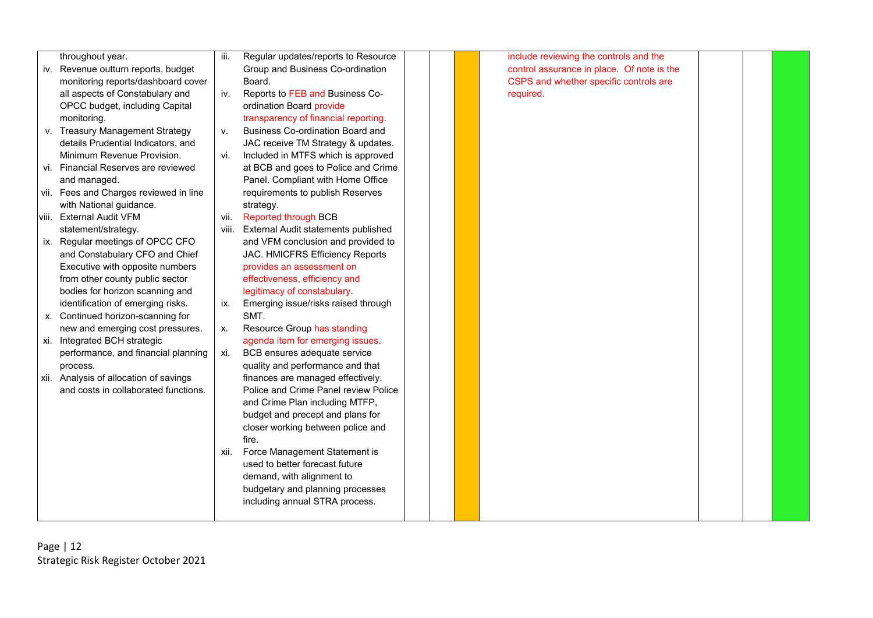throughout year.

- iv. Revenue outturn reports, budget monitoring reports/dashboard cover all aspects of Constabulary and OPCC budget, including Capital monitoring.
- v. Treasury Management Strategy details Prudential Indicators, and Minimum Revenue Provision.
- vi. Financial Reserves are reviewed and managed.
- vii. Fees and Charges reviewed in line with National guidance.
- viii. External Audit VFM statement/strategy.
- ix. Regular meetings of OPCC CFO and Constabulary CFO and Chief Executive with opposite numbers from other county public sector bodies for horizon scanning and identification of emerging risks.
- x. Continued horizon-scanning for new and emerging cost pressures.
- xi. Integrated BCH strategic performance, and financial planning process.
- xii. Analysis of allocation of savings and costs in collaborated functions.
- iii. Regular updates/reports to Resource Group and Business Co-ordination Board.
- iv. Reports to FEB and Business Coordination Board provide transparency of financial reporting.
- v. Business Co-ordination Board and JAC receive TM Strategy & updates.
- vi. Included in MTFS which is approved at BCB and goes to Police and Crime Panel. Compliant with Home Office requirements to publish Reserves strategy.
- vii. Reported through BCB
- viii. External Audit statements published and VFM conclusion and provided to JAC. HMICFRS Efficiency Reports provides an assessment on effectiveness, efficiency and legitimacy of constabulary.
- ix. Emerging issue/risks raised through SMT.
- x. Resource Group has standing agenda item for emerging issues.
- xi. BCB ensures adequate service quality and performance and that finances are managed effectively. Police and Crime Panel review Police and Crime Plan including MTFP, budget and precept and plans for closer working between police and fire.
- xii. Force Management Statement is used to better forecast future demand, with alignment to budgetary and planning processes including annual STRA process.

include reviewing the controls and the control assurance in place. Of note is the CSPS and whether specific controls are required.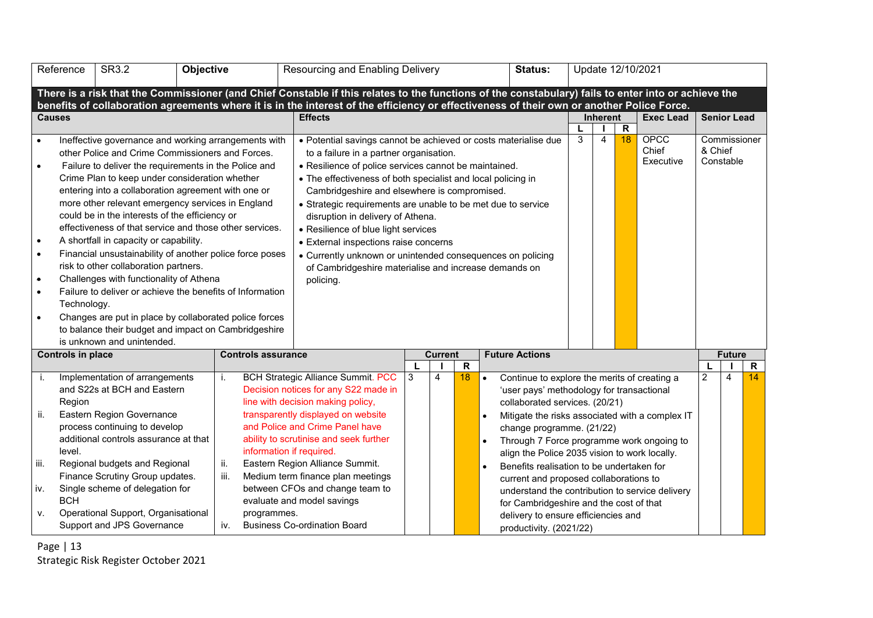| Reference                  |             | SR3.2                                                                                                    | Objective |                           | Resourcing and Enabling Delivery                                                                                                                                                                                                                                                                 |   |                |           |           | Status:                                                                        |   | Update 12/10/2021 |             |                            |                |                           |                |
|----------------------------|-------------|----------------------------------------------------------------------------------------------------------|-----------|---------------------------|--------------------------------------------------------------------------------------------------------------------------------------------------------------------------------------------------------------------------------------------------------------------------------------------------|---|----------------|-----------|-----------|--------------------------------------------------------------------------------|---|-------------------|-------------|----------------------------|----------------|---------------------------|----------------|
|                            |             |                                                                                                          |           |                           | There is a risk that the Commissioner (and Chief Constable if this relates to the functions of the constabulary) fails to enter into or achieve the<br>benefits of collaboration agreements where it is in the interest of the efficiency or effectiveness of their own or another Police Force. |   |                |           |           |                                                                                |   |                   |             |                            |                |                           |                |
| <b>Causes</b>              |             |                                                                                                          |           |                           | <b>Effects</b>                                                                                                                                                                                                                                                                                   |   |                |           |           |                                                                                |   | Inherent          |             | <b>Exec Lead</b>           |                | <b>Senior Lead</b>        |                |
|                            |             |                                                                                                          |           |                           |                                                                                                                                                                                                                                                                                                  |   |                |           |           |                                                                                |   |                   | $\mathbf R$ |                            |                |                           |                |
| $\bullet$                  |             | Ineffective governance and working arrangements with<br>other Police and Crime Commissioners and Forces. |           |                           | • Potential savings cannot be achieved or costs materialise due<br>to a failure in a partner organisation.                                                                                                                                                                                       |   |                |           |           |                                                                                | 3 | $\overline{4}$    | 18          | OPCC<br>Chief<br>Executive | & Chief        | Commissioner<br>Constable |                |
| $\bullet$                  |             | Failure to deliver the requirements in the Police and                                                    |           |                           | • Resilience of police services cannot be maintained.                                                                                                                                                                                                                                            |   |                |           |           |                                                                                |   |                   |             |                            |                |                           |                |
|                            |             | Crime Plan to keep under consideration whether                                                           |           |                           | • The effectiveness of both specialist and local policing in                                                                                                                                                                                                                                     |   |                |           |           |                                                                                |   |                   |             |                            |                |                           |                |
|                            |             | entering into a collaboration agreement with one or                                                      |           |                           | Cambridgeshire and elsewhere is compromised.                                                                                                                                                                                                                                                     |   |                |           |           |                                                                                |   |                   |             |                            |                |                           |                |
|                            |             | more other relevant emergency services in England                                                        |           |                           | • Strategic requirements are unable to be met due to service                                                                                                                                                                                                                                     |   |                |           |           |                                                                                |   |                   |             |                            |                |                           |                |
|                            |             | could be in the interests of the efficiency or                                                           |           |                           | disruption in delivery of Athena.                                                                                                                                                                                                                                                                |   |                |           |           |                                                                                |   |                   |             |                            |                |                           |                |
|                            |             | effectiveness of that service and those other services.                                                  |           |                           | • Resilience of blue light services                                                                                                                                                                                                                                                              |   |                |           |           |                                                                                |   |                   |             |                            |                |                           |                |
| $\bullet$                  |             | A shortfall in capacity or capability.                                                                   |           |                           | • External inspections raise concerns                                                                                                                                                                                                                                                            |   |                |           |           |                                                                                |   |                   |             |                            |                |                           |                |
| $\bullet$                  |             | Financial unsustainability of another police force poses                                                 |           |                           | • Currently unknown or unintended consequences on policing                                                                                                                                                                                                                                       |   |                |           |           |                                                                                |   |                   |             |                            |                |                           |                |
| $\bullet$                  |             | risk to other collaboration partners.<br>Challenges with functionality of Athena                         |           |                           | of Cambridgeshire materialise and increase demands on                                                                                                                                                                                                                                            |   |                |           |           |                                                                                |   |                   |             |                            |                |                           |                |
| $\bullet$                  |             | Failure to deliver or achieve the benefits of Information                                                |           |                           | policing.                                                                                                                                                                                                                                                                                        |   |                |           |           |                                                                                |   |                   |             |                            |                |                           |                |
|                            | Technology. |                                                                                                          |           |                           |                                                                                                                                                                                                                                                                                                  |   |                |           |           |                                                                                |   |                   |             |                            |                |                           |                |
| $\bullet$                  |             | Changes are put in place by collaborated police forces                                                   |           |                           |                                                                                                                                                                                                                                                                                                  |   |                |           |           |                                                                                |   |                   |             |                            |                |                           |                |
|                            |             | to balance their budget and impact on Cambridgeshire                                                     |           |                           |                                                                                                                                                                                                                                                                                                  |   |                |           |           |                                                                                |   |                   |             |                            |                |                           |                |
|                            |             | is unknown and unintended.                                                                               |           |                           |                                                                                                                                                                                                                                                                                                  |   |                |           |           |                                                                                |   |                   |             |                            |                |                           |                |
| <b>Controls in place</b>   |             |                                                                                                          |           | <b>Controls assurance</b> |                                                                                                                                                                                                                                                                                                  |   | <b>Current</b> |           |           | <b>Future Actions</b>                                                          |   |                   |             |                            |                | <b>Future</b>             |                |
|                            |             |                                                                                                          |           |                           |                                                                                                                                                                                                                                                                                                  |   |                | ${\sf R}$ |           |                                                                                |   |                   |             |                            |                |                           | $\overline{R}$ |
| i.                         |             | Implementation of arrangements                                                                           |           | i.                        | <b>BCH Strategic Alliance Summit. PCC</b>                                                                                                                                                                                                                                                        | 3 | $\overline{4}$ | 18        | $\bullet$ | Continue to explore the merits of creating a                                   |   |                   |             |                            | $\overline{2}$ | 4                         | 14             |
|                            |             | and S22s at BCH and Eastern                                                                              |           |                           | Decision notices for any S22 made in                                                                                                                                                                                                                                                             |   |                |           |           | 'user pays' methodology for transactional                                      |   |                   |             |                            |                |                           |                |
|                            | Region      |                                                                                                          |           |                           | line with decision making policy,                                                                                                                                                                                                                                                                |   |                |           |           | collaborated services. (20/21)                                                 |   |                   |             |                            |                |                           |                |
| ii.                        |             | Eastern Region Governance                                                                                |           |                           | transparently displayed on website                                                                                                                                                                                                                                                               |   |                |           |           | Mitigate the risks associated with a complex IT                                |   |                   |             |                            |                |                           |                |
|                            |             | process continuing to develop                                                                            |           |                           | and Police and Crime Panel have                                                                                                                                                                                                                                                                  |   |                |           |           | change programme. (21/22)                                                      |   |                   |             |                            |                |                           |                |
|                            |             | additional controls assurance at that                                                                    |           |                           | ability to scrutinise and seek further                                                                                                                                                                                                                                                           |   |                |           |           | Through 7 Force programme work ongoing to                                      |   |                   |             |                            |                |                           |                |
|                            | level.      |                                                                                                          |           |                           | information if required.                                                                                                                                                                                                                                                                         |   |                |           |           | align the Police 2035 vision to work locally.                                  |   |                   |             |                            |                |                           |                |
| iii.                       |             | Regional budgets and Regional<br>Finance Scrutiny Group updates.                                         |           | ii.<br>iii.               | Eastern Region Alliance Summit.<br>Medium term finance plan meetings                                                                                                                                                                                                                             |   |                |           |           | Benefits realisation to be undertaken for                                      |   |                   |             |                            |                |                           |                |
| iv.                        |             | Single scheme of delegation for                                                                          |           |                           | between CFOs and change team to                                                                                                                                                                                                                                                                  |   |                |           |           | current and proposed collaborations to                                         |   |                   |             |                            |                |                           |                |
|                            | <b>BCH</b>  |                                                                                                          |           |                           | evaluate and model savings                                                                                                                                                                                                                                                                       |   |                |           |           | understand the contribution to service delivery                                |   |                   |             |                            |                |                           |                |
| V.                         |             | Operational Support, Organisational                                                                      |           | programmes.               |                                                                                                                                                                                                                                                                                                  |   |                |           |           | for Cambridgeshire and the cost of that<br>delivery to ensure efficiencies and |   |                   |             |                            |                |                           |                |
| Support and JPS Governance |             |                                                                                                          |           |                           |                                                                                                                                                                                                                                                                                                  |   |                |           |           |                                                                                |   |                   |             |                            |                |                           |                |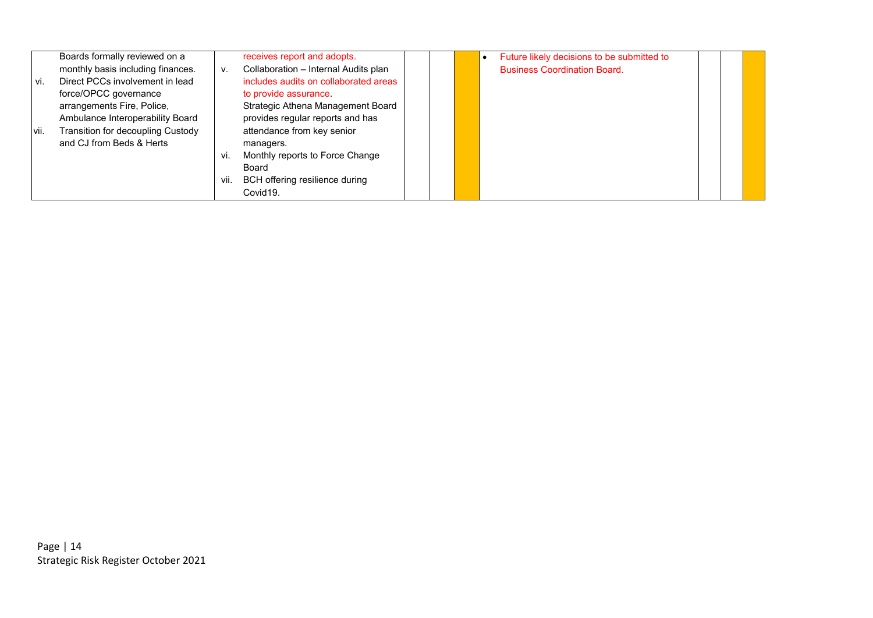|       | Boards formally reviewed on a     |             | receives report and adopts.           |  |  | Future likely decisions to be submitted to |  |  |
|-------|-----------------------------------|-------------|---------------------------------------|--|--|--------------------------------------------|--|--|
|       | monthly basis including finances. | $V_{\cdot}$ | Collaboration - Internal Audits plan  |  |  | <b>Business Coordination Board.</b>        |  |  |
| l Vİ. | Direct PCCs involvement in lead   |             | includes audits on collaborated areas |  |  |                                            |  |  |
|       | force/OPCC governance             |             | to provide assurance.                 |  |  |                                            |  |  |
|       | arrangements Fire, Police,        |             | Strategic Athena Management Board     |  |  |                                            |  |  |
|       | Ambulance Interoperability Board  |             | provides regular reports and has      |  |  |                                            |  |  |
| Vii.  | Transition for decoupling Custody |             | attendance from key senior            |  |  |                                            |  |  |
|       | and CJ from Beds & Herts          |             | managers.                             |  |  |                                            |  |  |
|       |                                   | Vİ.         | Monthly reports to Force Change       |  |  |                                            |  |  |
|       |                                   |             | Board                                 |  |  |                                            |  |  |
|       |                                   | vii.        | BCH offering resilience during        |  |  |                                            |  |  |
|       |                                   |             | Covid <sub>19</sub> .                 |  |  |                                            |  |  |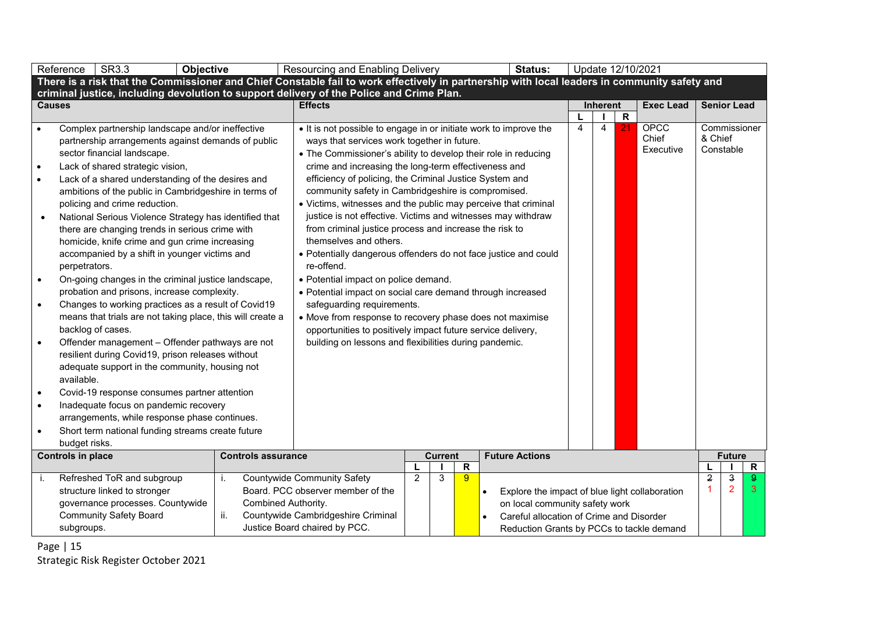|                                                               | Reference<br>SR3.3<br>Objective                                                                                                                                                                                                                                                                                                                                                                                                                                                                                                                                                                                                                                                                                                                                                                                                                                                                                                                                                                                                                                                                                                                                                                   |                           | Resourcing and Enabling Delivery                                                                                                                                                                                                                                                                                                                                                                                                                                                                                                                                                                                                                                                                                                                                                                                                                                                                                                                                                            |                     |           | Status:                                        |   |                 | Update 12/10/2021 |                            |                                      |                                  |              |
|---------------------------------------------------------------|---------------------------------------------------------------------------------------------------------------------------------------------------------------------------------------------------------------------------------------------------------------------------------------------------------------------------------------------------------------------------------------------------------------------------------------------------------------------------------------------------------------------------------------------------------------------------------------------------------------------------------------------------------------------------------------------------------------------------------------------------------------------------------------------------------------------------------------------------------------------------------------------------------------------------------------------------------------------------------------------------------------------------------------------------------------------------------------------------------------------------------------------------------------------------------------------------|---------------------------|---------------------------------------------------------------------------------------------------------------------------------------------------------------------------------------------------------------------------------------------------------------------------------------------------------------------------------------------------------------------------------------------------------------------------------------------------------------------------------------------------------------------------------------------------------------------------------------------------------------------------------------------------------------------------------------------------------------------------------------------------------------------------------------------------------------------------------------------------------------------------------------------------------------------------------------------------------------------------------------------|---------------------|-----------|------------------------------------------------|---|-----------------|-------------------|----------------------------|--------------------------------------|----------------------------------|--------------|
|                                                               | There is a risk that the Commissioner and Chief Constable fail to work effectively in partnership with local leaders in community safety and                                                                                                                                                                                                                                                                                                                                                                                                                                                                                                                                                                                                                                                                                                                                                                                                                                                                                                                                                                                                                                                      |                           |                                                                                                                                                                                                                                                                                                                                                                                                                                                                                                                                                                                                                                                                                                                                                                                                                                                                                                                                                                                             |                     |           |                                                |   |                 |                   |                            |                                      |                                  |              |
|                                                               | criminal justice, including devolution to support delivery of the Police and Crime Plan.                                                                                                                                                                                                                                                                                                                                                                                                                                                                                                                                                                                                                                                                                                                                                                                                                                                                                                                                                                                                                                                                                                          |                           |                                                                                                                                                                                                                                                                                                                                                                                                                                                                                                                                                                                                                                                                                                                                                                                                                                                                                                                                                                                             |                     |           |                                                |   |                 |                   |                            |                                      |                                  |              |
| <b>Causes</b>                                                 |                                                                                                                                                                                                                                                                                                                                                                                                                                                                                                                                                                                                                                                                                                                                                                                                                                                                                                                                                                                                                                                                                                                                                                                                   |                           | <b>Effects</b>                                                                                                                                                                                                                                                                                                                                                                                                                                                                                                                                                                                                                                                                                                                                                                                                                                                                                                                                                                              |                     |           |                                                |   | <b>Inherent</b> |                   | <b>Exec Lead</b>           | <b>Senior Lead</b>                   |                                  |              |
| $\bullet$<br>$\bullet$<br>$\bullet$<br>$\bullet$<br>$\bullet$ | Complex partnership landscape and/or ineffective<br>partnership arrangements against demands of public<br>sector financial landscape.<br>Lack of shared strategic vision,<br>Lack of a shared understanding of the desires and<br>ambitions of the public in Cambridgeshire in terms of<br>policing and crime reduction.<br>National Serious Violence Strategy has identified that<br>there are changing trends in serious crime with<br>homicide, knife crime and gun crime increasing<br>accompanied by a shift in younger victims and<br>perpetrators.<br>On-going changes in the criminal justice landscape,<br>probation and prisons, increase complexity.<br>Changes to working practices as a result of Covid19<br>means that trials are not taking place, this will create a<br>backlog of cases.<br>Offender management - Offender pathways are not<br>resilient during Covid19, prison releases without<br>adequate support in the community, housing not<br>available.<br>Covid-19 response consumes partner attention<br>Inadequate focus on pandemic recovery<br>arrangements, while response phase continues.<br>Short term national funding streams create future<br>budget risks. |                           | . It is not possible to engage in or initiate work to improve the<br>ways that services work together in future.<br>• The Commissioner's ability to develop their role in reducing<br>crime and increasing the long-term effectiveness and<br>efficiency of policing, the Criminal Justice System and<br>community safety in Cambridgeshire is compromised.<br>• Victims, witnesses and the public may perceive that criminal<br>justice is not effective. Victims and witnesses may withdraw<br>from criminal justice process and increase the risk to<br>themselves and others.<br>• Potentially dangerous offenders do not face justice and could<br>re-offend.<br>• Potential impact on police demand.<br>• Potential impact on social care demand through increased<br>safeguarding requirements.<br>• Move from response to recovery phase does not maximise<br>opportunities to positively impact future service delivery,<br>building on lessons and flexibilities during pandemic. |                     |           |                                                | 4 | $\overline{4}$  | $\mathbf R$<br>21 | OPCC<br>Chief<br>Executive | Commissioner<br>& Chief<br>Constable |                                  |              |
|                                                               | <b>Controls in place</b>                                                                                                                                                                                                                                                                                                                                                                                                                                                                                                                                                                                                                                                                                                                                                                                                                                                                                                                                                                                                                                                                                                                                                                          | <b>Controls assurance</b> |                                                                                                                                                                                                                                                                                                                                                                                                                                                                                                                                                                                                                                                                                                                                                                                                                                                                                                                                                                                             | <b>Current</b>      |           | <b>Future Actions</b>                          |   |                 |                   |                            |                                      | <b>Future</b>                    |              |
|                                                               |                                                                                                                                                                                                                                                                                                                                                                                                                                                                                                                                                                                                                                                                                                                                                                                                                                                                                                                                                                                                                                                                                                                                                                                                   |                           |                                                                                                                                                                                                                                                                                                                                                                                                                                                                                                                                                                                                                                                                                                                                                                                                                                                                                                                                                                                             |                     | ${\sf R}$ |                                                |   |                 |                   |                            |                                      |                                  | $\mathsf{R}$ |
| j.                                                            | Refreshed ToR and subgroup<br>structure linked to stronger                                                                                                                                                                                                                                                                                                                                                                                                                                                                                                                                                                                                                                                                                                                                                                                                                                                                                                                                                                                                                                                                                                                                        | i.                        | <b>Countywide Community Safety</b><br>Board. PCC observer member of the                                                                                                                                                                                                                                                                                                                                                                                                                                                                                                                                                                                                                                                                                                                                                                                                                                                                                                                     | $\overline{2}$<br>3 | 9         | Explore the impact of blue light collaboration |   |                 |                   |                            | 2                                    | $\overline{a}$<br>$\overline{2}$ | 9<br>3       |
|                                                               | governance processes. Countywide                                                                                                                                                                                                                                                                                                                                                                                                                                                                                                                                                                                                                                                                                                                                                                                                                                                                                                                                                                                                                                                                                                                                                                  | Combined Authority.       |                                                                                                                                                                                                                                                                                                                                                                                                                                                                                                                                                                                                                                                                                                                                                                                                                                                                                                                                                                                             |                     |           | on local community safety work                 |   |                 |                   |                            |                                      |                                  |              |
|                                                               | <b>Community Safety Board</b>                                                                                                                                                                                                                                                                                                                                                                                                                                                                                                                                                                                                                                                                                                                                                                                                                                                                                                                                                                                                                                                                                                                                                                     | ii.                       | Countywide Cambridgeshire Criminal                                                                                                                                                                                                                                                                                                                                                                                                                                                                                                                                                                                                                                                                                                                                                                                                                                                                                                                                                          |                     |           | Careful allocation of Crime and Disorder       |   |                 |                   |                            |                                      |                                  |              |
|                                                               | subgroups.                                                                                                                                                                                                                                                                                                                                                                                                                                                                                                                                                                                                                                                                                                                                                                                                                                                                                                                                                                                                                                                                                                                                                                                        |                           | Justice Board chaired by PCC.                                                                                                                                                                                                                                                                                                                                                                                                                                                                                                                                                                                                                                                                                                                                                                                                                                                                                                                                                               |                     |           | Reduction Grants by PCCs to tackle demand      |   |                 |                   |                            |                                      |                                  |              |
|                                                               |                                                                                                                                                                                                                                                                                                                                                                                                                                                                                                                                                                                                                                                                                                                                                                                                                                                                                                                                                                                                                                                                                                                                                                                                   |                           |                                                                                                                                                                                                                                                                                                                                                                                                                                                                                                                                                                                                                                                                                                                                                                                                                                                                                                                                                                                             |                     |           |                                                |   |                 |                   |                            |                                      |                                  |              |

Page | 15 Strategic Risk Register October 2021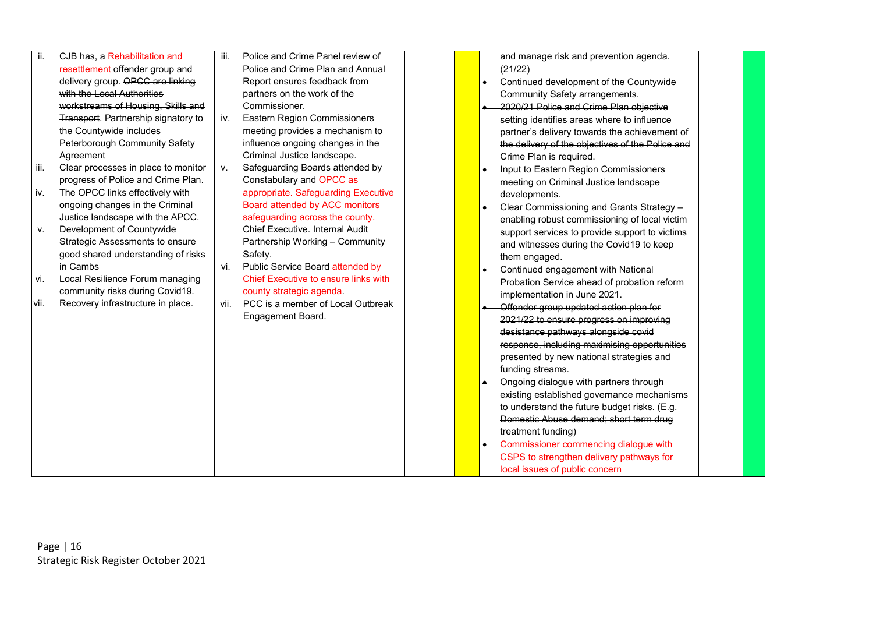| ii.  | CJB has, a Rehabilitation and              | iii. | Police and Crime Panel review of       |  | and manage risk and prevention agenda.               |  |
|------|--------------------------------------------|------|----------------------------------------|--|------------------------------------------------------|--|
|      | resettlement offender group and            |      | Police and Crime Plan and Annual       |  | (21/22)                                              |  |
|      | delivery group. OPCC are linking           |      | Report ensures feedback from           |  | Continued development of the Countywide<br>$\bullet$ |  |
|      | with the Local Authorities                 |      | partners on the work of the            |  | Community Safety arrangements.                       |  |
|      | workstreams of Housing, Skills and         |      | Commissioner.                          |  | 2020/21 Police and Crime Plan objective              |  |
|      | <b>Transport.</b> Partnership signatory to | iv.  | Eastern Region Commissioners           |  | setting identifies areas where to influence          |  |
|      | the Countywide includes                    |      | meeting provides a mechanism to        |  | partner's delivery towards the achievement of        |  |
|      | Peterborough Community Safety              |      | influence ongoing changes in the       |  | the delivery of the objectives of the Police and     |  |
|      | Agreement                                  |      | Criminal Justice landscape.            |  | Crime Plan is required.                              |  |
| iii. | Clear processes in place to monitor        | V.   | Safeguarding Boards attended by        |  | Input to Eastern Region Commissioners                |  |
|      | progress of Police and Crime Plan.         |      | Constabulary and OPCC as               |  | meeting on Criminal Justice landscape                |  |
| iv.  | The OPCC links effectively with            |      | appropriate. Safeguarding Executive    |  | developments.                                        |  |
|      | ongoing changes in the Criminal            |      | Board attended by ACC monitors         |  | Clear Commissioning and Grants Strategy -            |  |
|      | Justice landscape with the APCC.           |      | safeguarding across the county.        |  | enabling robust commissioning of local victim        |  |
| v.   | Development of Countywide                  |      | <b>Chief Executive. Internal Audit</b> |  | support services to provide support to victims       |  |
|      | Strategic Assessments to ensure            |      | Partnership Working - Community        |  | and witnesses during the Covid19 to keep             |  |
|      | good shared understanding of risks         |      | Safety.                                |  | them engaged.                                        |  |
|      | in Cambs                                   | vi.  | Public Service Board attended by       |  | Continued engagement with National                   |  |
| vi.  | Local Resilience Forum managing            |      | Chief Executive to ensure links with   |  | Probation Service ahead of probation reform          |  |
|      | community risks during Covid19.            |      | county strategic agenda.               |  | implementation in June 2021.                         |  |
| vii. | Recovery infrastructure in place.          | vii. | PCC is a member of Local Outbreak      |  | Offender group updated action plan for               |  |
|      |                                            |      | Engagement Board.                      |  | 2021/22 to ensure progress on improving              |  |
|      |                                            |      |                                        |  | desistance pathways alongside covid                  |  |
|      |                                            |      |                                        |  | response, including maximising opportunities         |  |
|      |                                            |      |                                        |  | presented by new national strategies and             |  |
|      |                                            |      |                                        |  | funding streams.                                     |  |
|      |                                            |      |                                        |  | Ongoing dialogue with partners through<br>$\bullet$  |  |
|      |                                            |      |                                        |  | existing established governance mechanisms           |  |
|      |                                            |      |                                        |  | to understand the future budget risks. $(E.g.$       |  |
|      |                                            |      |                                        |  | Domestic Abuse demand; short term drug               |  |
|      |                                            |      |                                        |  | treatment funding)                                   |  |
|      |                                            |      |                                        |  | Commissioner commencing dialogue with<br>$\bullet$   |  |
|      |                                            |      |                                        |  | CSPS to strengthen delivery pathways for             |  |
|      |                                            |      |                                        |  | local issues of public concern                       |  |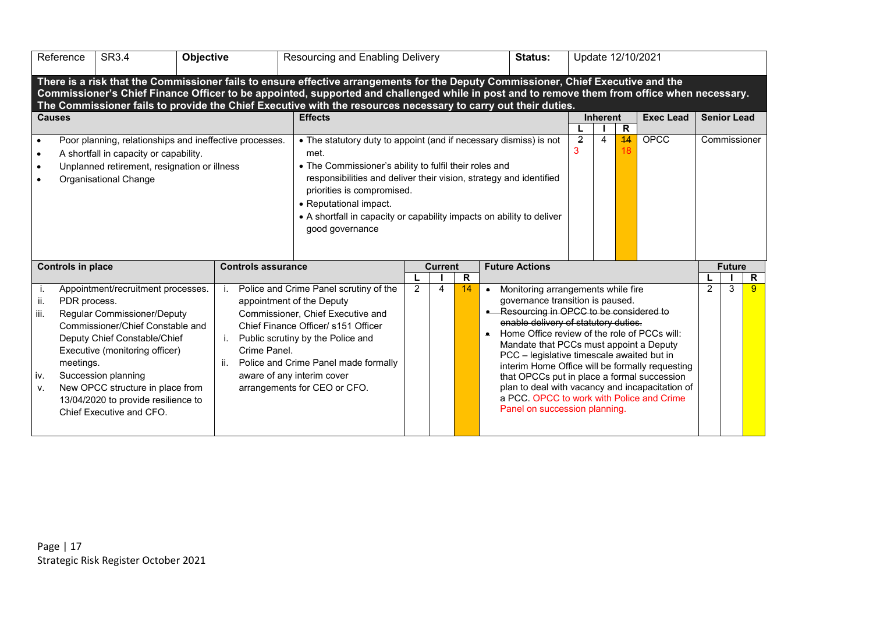| Reference                                                            | SR3.4                                                                                                                                                                                                                                                                                                                                                                                                                                                                                                    | <b>Objective</b>    | Resourcing and Enabling Delivery                                                                                                                                                                                                                                                                                                                                                                  |                                                                                                                                                                                                                                                                                                                                                                                                                                                                                                                                                     |  |  | Status: |  |                 |             | Update 12/10/2021            |  |                    |  |
|----------------------------------------------------------------------|----------------------------------------------------------------------------------------------------------------------------------------------------------------------------------------------------------------------------------------------------------------------------------------------------------------------------------------------------------------------------------------------------------------------------------------------------------------------------------------------------------|---------------------|---------------------------------------------------------------------------------------------------------------------------------------------------------------------------------------------------------------------------------------------------------------------------------------------------------------------------------------------------------------------------------------------------|-----------------------------------------------------------------------------------------------------------------------------------------------------------------------------------------------------------------------------------------------------------------------------------------------------------------------------------------------------------------------------------------------------------------------------------------------------------------------------------------------------------------------------------------------------|--|--|---------|--|-----------------|-------------|------------------------------|--|--------------------|--|
|                                                                      |                                                                                                                                                                                                                                                                                                                                                                                                                                                                                                          |                     | There is a risk that the Commissioner fails to ensure effective arrangements for the Deputy Commissioner, Chief Executive and the<br>Commissioner's Chief Finance Officer to be appointed, supported and challenged while in post and to remove them from office when necessary.<br>The Commissioner fails to provide the Chief Executive with the resources necessary to carry out their duties. |                                                                                                                                                                                                                                                                                                                                                                                                                                                                                                                                                     |  |  |         |  |                 |             |                              |  |                    |  |
| <b>Causes</b>                                                        |                                                                                                                                                                                                                                                                                                                                                                                                                                                                                                          |                     | <b>Effects</b>                                                                                                                                                                                                                                                                                                                                                                                    |                                                                                                                                                                                                                                                                                                                                                                                                                                                                                                                                                     |  |  |         |  | <b>Inherent</b> |             | <b>Exec Lead</b>             |  | <b>Senior Lead</b> |  |
|                                                                      |                                                                                                                                                                                                                                                                                                                                                                                                                                                                                                          |                     |                                                                                                                                                                                                                                                                                                                                                                                                   |                                                                                                                                                                                                                                                                                                                                                                                                                                                                                                                                                     |  |  |         |  |                 | $\mathbf R$ |                              |  |                    |  |
| Poor planning, relationships and ineffective processes.<br>$\bullet$ | 3<br>A shortfall in capacity or capability.<br>met.<br>• The Commissioner's ability to fulfil their roles and<br>Unplanned retirement, resignation or illness<br>responsibilities and deliver their vision, strategy and identified<br>Organisational Change<br>priorities is compromised.<br>• Reputational impact.<br>• A shortfall in capacity or capability impacts on ability to deliver<br>good governance<br><b>Future Actions</b><br><b>Controls assurance</b><br><b>Current</b><br>$\mathsf{R}$ |                     |                                                                                                                                                                                                                                                                                                                                                                                                   |                                                                                                                                                                                                                                                                                                                                                                                                                                                                                                                                                     |  |  |         |  |                 |             |                              |  | Commissioner       |  |
| <b>Controls in place</b>                                             |                                                                                                                                                                                                                                                                                                                                                                                                                                                                                                          |                     |                                                                                                                                                                                                                                                                                                                                                                                                   |                                                                                                                                                                                                                                                                                                                                                                                                                                                                                                                                                     |  |  |         |  |                 |             |                              |  | <b>Future</b>      |  |
| Τ.<br>PDR process.<br>II.<br>iii.<br>meetings.<br>iv.<br>v.          | Appointment/recruitment processes.<br>Regular Commissioner/Deputy<br>Commissioner/Chief Constable and<br>Deputy Chief Constable/Chief<br>Executive (monitoring officer)<br>Succession planning<br>New OPCC structure in place from<br>13/04/2020 to provide resilience to<br>Chief Executive and CFO.                                                                                                                                                                                                    | Crime Panel.<br>ii. | Police and Crime Panel scrutiny of the<br>appointment of the Deputy<br>Commissioner, Chief Executive and<br>Chief Finance Officer/ s151 Officer<br>Public scrutiny by the Police and<br>Police and Crime Panel made formally<br>aware of any interim cover<br>arrangements for CEO or CFO.                                                                                                        | Monitoring arrangements while fire<br>$\bullet$<br>governance transition is paused.<br>• Resourcing in OPCC to be considered to<br>enable delivery of statutory duties.<br>Home Office review of the role of PCCs will:<br>Mandate that PCCs must appoint a Deputy<br>PCC - legislative timescale awaited but in<br>interim Home Office will be formally requesting<br>that OPCCs put in place a formal succession<br>plan to deal with vacancy and incapacitation of<br>a PCC. OPCC to work with Police and Crime<br>Panel on succession planning. |  |  |         |  | 2               | 3           | $\mathsf{R}$<br>$\mathbf{Q}$ |  |                    |  |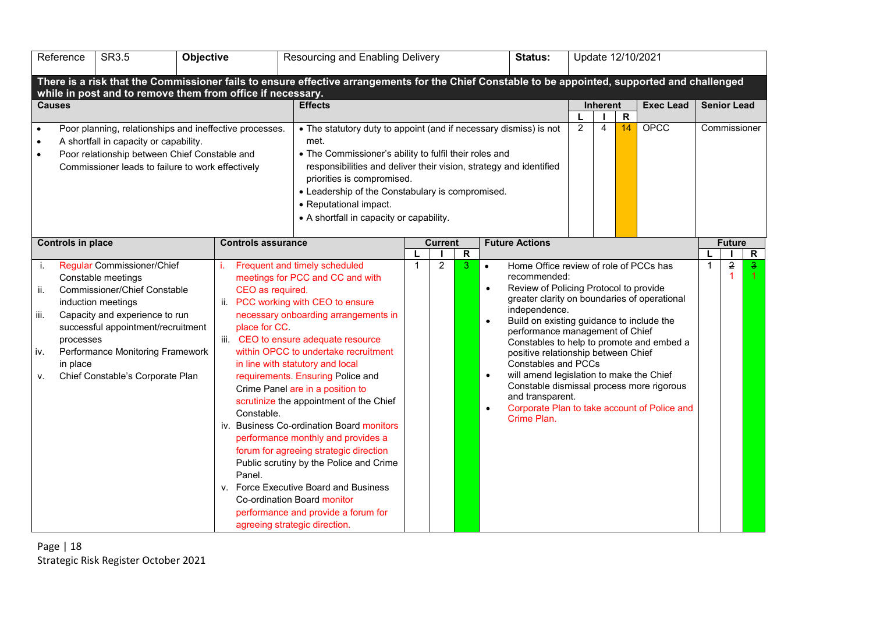| Reference                                               | SR3.5                                                                                                                                                                                                                                                                | Objective |                                                                  | Resourcing and Enabling Delivery                                                                                                                                                                                                                                                                                                                                                                                                                                                                                                                                                                                                                                                                            |              |                |                |                                                               | Status:                                                                                                                                                                                                                                                                                                                                                                                                                                                                                                                                         |                |                 |         | Update 12/10/2021 |                    |                         |                     |
|---------------------------------------------------------|----------------------------------------------------------------------------------------------------------------------------------------------------------------------------------------------------------------------------------------------------------------------|-----------|------------------------------------------------------------------|-------------------------------------------------------------------------------------------------------------------------------------------------------------------------------------------------------------------------------------------------------------------------------------------------------------------------------------------------------------------------------------------------------------------------------------------------------------------------------------------------------------------------------------------------------------------------------------------------------------------------------------------------------------------------------------------------------------|--------------|----------------|----------------|---------------------------------------------------------------|-------------------------------------------------------------------------------------------------------------------------------------------------------------------------------------------------------------------------------------------------------------------------------------------------------------------------------------------------------------------------------------------------------------------------------------------------------------------------------------------------------------------------------------------------|----------------|-----------------|---------|-------------------|--------------------|-------------------------|---------------------|
|                                                         | while in post and to remove them from office if necessary.                                                                                                                                                                                                           |           |                                                                  | There is a risk that the Commissioner fails to ensure effective arrangements for the Chief Constable to be appointed, supported and challenged                                                                                                                                                                                                                                                                                                                                                                                                                                                                                                                                                              |              |                |                |                                                               |                                                                                                                                                                                                                                                                                                                                                                                                                                                                                                                                                 |                |                 |         |                   |                    |                         |                     |
| <b>Causes</b>                                           |                                                                                                                                                                                                                                                                      |           |                                                                  | <b>Effects</b>                                                                                                                                                                                                                                                                                                                                                                                                                                                                                                                                                                                                                                                                                              |              |                |                |                                                               |                                                                                                                                                                                                                                                                                                                                                                                                                                                                                                                                                 |                | <b>Inherent</b> |         | <b>Exec Lead</b>  | <b>Senior Lead</b> |                         |                     |
| $\bullet$<br>$\bullet$                                  | Poor planning, relationships and ineffective processes.<br>A shortfall in capacity or capability.<br>Poor relationship between Chief Constable and<br>Commissioner leads to failure to work effectively                                                              |           |                                                                  | • The statutory duty to appoint (and if necessary dismiss) is not<br>met.<br>• The Commissioner's ability to fulfil their roles and<br>responsibilities and deliver their vision, strategy and identified<br>priorities is compromised.<br>• Leadership of the Constabulary is compromised.<br>• Reputational impact.<br>• A shortfall in capacity or capability.                                                                                                                                                                                                                                                                                                                                           |              |                |                |                                                               |                                                                                                                                                                                                                                                                                                                                                                                                                                                                                                                                                 | $\overline{c}$ | $\overline{4}$  | R<br>14 | OPCC              |                    |                         | Commissioner        |
| <b>Controls in place</b>                                |                                                                                                                                                                                                                                                                      |           | <b>Controls assurance</b>                                        |                                                                                                                                                                                                                                                                                                                                                                                                                                                                                                                                                                                                                                                                                                             |              | <b>Current</b> |                |                                                               | <b>Future Actions</b>                                                                                                                                                                                                                                                                                                                                                                                                                                                                                                                           |                |                 |         |                   |                    | <b>Future</b>           |                     |
| İ.<br>ii.<br>iii.<br>processes<br>IV.<br>in place<br>v. | <b>Regular Commissioner/Chief</b><br>Constable meetings<br><b>Commissioner/Chief Constable</b><br>induction meetings<br>Capacity and experience to run<br>successful appointment/recruitment<br>Performance Monitoring Framework<br>Chief Constable's Corporate Plan |           | CEO as required.<br>ii.<br>place for CC.<br>Constable.<br>Panel. | Frequent and timely scheduled<br>meetings for PCC and CC and with<br>PCC working with CEO to ensure<br>necessary onboarding arrangements in<br>iii. CEO to ensure adequate resource<br>within OPCC to undertake recruitment<br>in line with statutory and local<br>requirements. Ensuring Police and<br>Crime Panel are in a position to<br>scrutinize the appointment of the Chief<br>iv. Business Co-ordination Board monitors<br>performance monthly and provides a<br>forum for agreeing strategic direction<br>Public scrutiny by the Police and Crime<br>v. Force Executive Board and Business<br>Co-ordination Board monitor<br>performance and provide a forum for<br>agreeing strategic direction. | $\mathbf{1}$ | 2              | ${\sf R}$<br>3 | $\bullet$<br>$\bullet$<br>$\bullet$<br>$\bullet$<br>$\bullet$ | Home Office review of role of PCCs has<br>recommended:<br>Review of Policing Protocol to provide<br>greater clarity on boundaries of operational<br>independence.<br>Build on existing guidance to include the<br>performance management of Chief<br>Constables to help to promote and embed a<br>positive relationship between Chief<br><b>Constables and PCCs</b><br>will amend legislation to make the Chief<br>Constable dismissal process more rigorous<br>and transparent.<br>Corporate Plan to take account of Police and<br>Crime Plan. |                |                 |         |                   |                    | $\overline{\mathbf{2}}$ | $\overline{R}$<br>3 |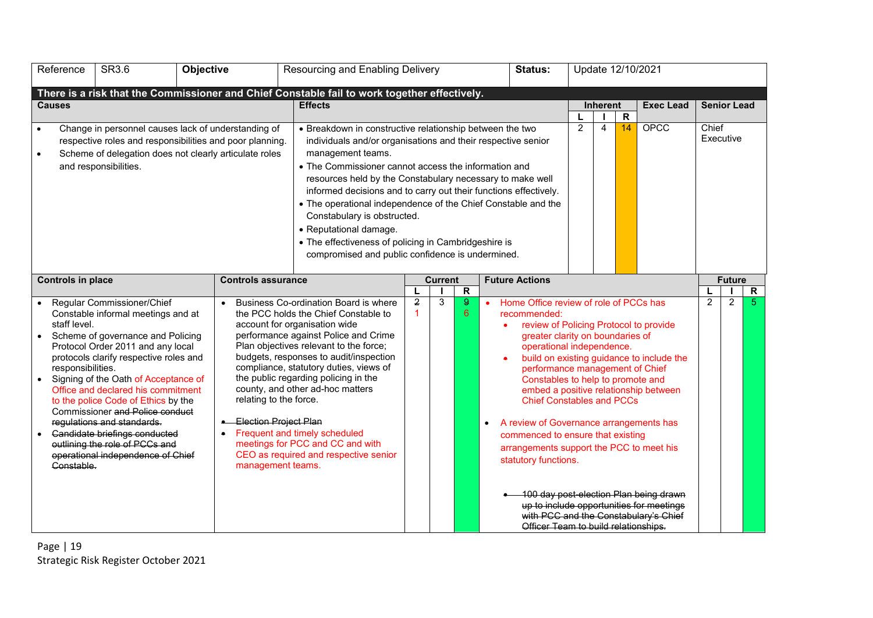| Reference<br>SR3.6<br>Objective                                                                                                                                                                                                                                                                                                                                                                                                                                                                                                                                                       |                                                                                          | Resourcing and Enabling Delivery                                                                                                                                                                                                                                                                                                                                                                                                                                                                                                                                             |                |                |                                                    |                        | Status:                                                                                                                                                                                                                                                                                                                                                                                                                                                                                                                                                     |                |                 |              | Update 12/10/2021                                                                                                               |                    |                    |        |
|---------------------------------------------------------------------------------------------------------------------------------------------------------------------------------------------------------------------------------------------------------------------------------------------------------------------------------------------------------------------------------------------------------------------------------------------------------------------------------------------------------------------------------------------------------------------------------------|------------------------------------------------------------------------------------------|------------------------------------------------------------------------------------------------------------------------------------------------------------------------------------------------------------------------------------------------------------------------------------------------------------------------------------------------------------------------------------------------------------------------------------------------------------------------------------------------------------------------------------------------------------------------------|----------------|----------------|----------------------------------------------------|------------------------|-------------------------------------------------------------------------------------------------------------------------------------------------------------------------------------------------------------------------------------------------------------------------------------------------------------------------------------------------------------------------------------------------------------------------------------------------------------------------------------------------------------------------------------------------------------|----------------|-----------------|--------------|---------------------------------------------------------------------------------------------------------------------------------|--------------------|--------------------|--------|
| There is a risk that the Commissioner and Chief Constable fail to work together effectively.                                                                                                                                                                                                                                                                                                                                                                                                                                                                                          |                                                                                          |                                                                                                                                                                                                                                                                                                                                                                                                                                                                                                                                                                              |                |                |                                                    |                        |                                                                                                                                                                                                                                                                                                                                                                                                                                                                                                                                                             |                |                 |              |                                                                                                                                 |                    |                    |        |
| <b>Causes</b>                                                                                                                                                                                                                                                                                                                                                                                                                                                                                                                                                                         |                                                                                          | <b>Effects</b>                                                                                                                                                                                                                                                                                                                                                                                                                                                                                                                                                               |                |                |                                                    |                        |                                                                                                                                                                                                                                                                                                                                                                                                                                                                                                                                                             |                | <b>Inherent</b> | $\mathsf{R}$ | <b>Exec Lead</b>                                                                                                                |                    | <b>Senior Lead</b> |        |
| Change in personnel causes lack of understanding of<br>$\bullet$<br>respective roles and responsibilities and poor planning.<br>Scheme of delegation does not clearly articulate roles<br>$\bullet$<br>and responsibilities.                                                                                                                                                                                                                                                                                                                                                          |                                                                                          | • Breakdown in constructive relationship between the two<br>individuals and/or organisations and their respective senior<br>management teams.<br>• The Commissioner cannot access the information and<br>resources held by the Constabulary necessary to make well<br>informed decisions and to carry out their functions effectively.<br>• The operational independence of the Chief Constable and the<br>Constabulary is obstructed.<br>• Reputational damage.<br>• The effectiveness of policing in Cambridgeshire is<br>compromised and public confidence is undermined. |                |                |                                                    |                        |                                                                                                                                                                                                                                                                                                                                                                                                                                                                                                                                                             | $\overline{2}$ | $\overline{4}$  | 14           | OPCC                                                                                                                            | Chief<br>Executive |                    |        |
| <b>Controls in place</b>                                                                                                                                                                                                                                                                                                                                                                                                                                                                                                                                                              | <b>Controls assurance</b>                                                                |                                                                                                                                                                                                                                                                                                                                                                                                                                                                                                                                                                              |                | <b>Current</b> |                                                    |                        | <b>Future Actions</b>                                                                                                                                                                                                                                                                                                                                                                                                                                                                                                                                       |                |                 |              |                                                                                                                                 |                    | <b>Future</b>      |        |
| • Regular Commissioner/Chief<br>Constable informal meetings and at<br>staff level.<br>Scheme of governance and Policing<br>$\bullet$<br>Protocol Order 2011 and any local<br>protocols clarify respective roles and<br>responsibilities.<br>Signing of the Oath of Acceptance of<br>$\bullet$<br>Office and declared his commitment<br>to the police Code of Ethics by the<br><b>Commissioner and Police conduct</b><br>regulations and standards.<br>Candidate briefings conducted<br>$\bullet$<br>outlining the role of PCCs and<br>operational independence of Chief<br>Constable. | $\bullet$<br>relating to the force.<br><b>Election Project Plan</b><br>management teams. | Business Co-ordination Board is where<br>the PCC holds the Chief Constable to<br>account for organisation wide<br>performance against Police and Crime<br>Plan objectives relevant to the force;<br>budgets, responses to audit/inspection<br>compliance, statutory duties, views of<br>the public regarding policing in the<br>county, and other ad-hoc matters<br>Frequent and timely scheduled<br>meetings for PCC and CC and with<br>CEO as required and respective senior                                                                                               | $\overline{2}$ | 3              | $\mathsf{R}$<br>$\boldsymbol{9}$<br>$6\phantom{1}$ | $\bullet$<br>$\bullet$ | Home Office review of role of PCCs has<br>recommended:<br>review of Policing Protocol to provide<br>greater clarity on boundaries of<br>operational independence.<br>performance management of Chief<br>Constables to help to promote and<br>embed a positive relationship between<br><b>Chief Constables and PCCs</b><br>A review of Governance arrangements has<br>commenced to ensure that existing<br>arrangements support the PCC to meet his<br>statutory functions.<br>with PCC and the Constabulary's Chief<br>Officer Team to build relationships. |                |                 |              | build on existing guidance to include the<br>100 day post-election Plan being drawn<br>up to include opportunities for meetings | $\overline{2}$     | $\overline{2}$     | R<br>5 |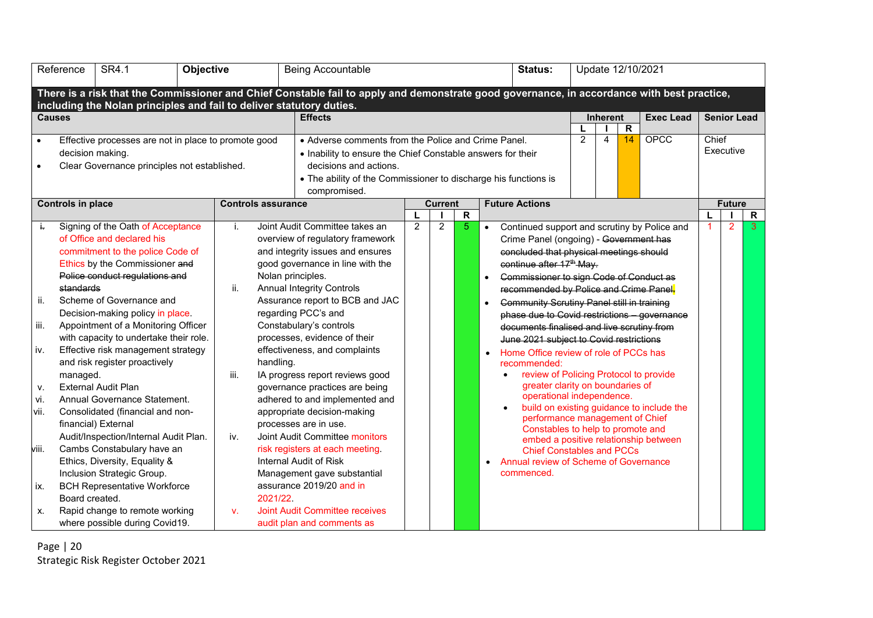|                                                               | Reference                               | SR4.1                                                                                                                                                                                                                                                                                                                                                                                                                                                                                                                                                                                                                                                                                                 | Objective |                           |                                            | <b>Being Accountable</b>                                                                                                                                                                                                                                                                                                                                                                                                                                                                                                                                                                                                                                      |                |                |                  |                                     | Status:                                                                                                                                                                                                                                                                                                                                                                                                                                                                                                                                                                                                                                                                                                                                                                                                                                                                                  |   | Update 12/10/2021 |                |                  |       |                    |                     |
|---------------------------------------------------------------|-----------------------------------------|-------------------------------------------------------------------------------------------------------------------------------------------------------------------------------------------------------------------------------------------------------------------------------------------------------------------------------------------------------------------------------------------------------------------------------------------------------------------------------------------------------------------------------------------------------------------------------------------------------------------------------------------------------------------------------------------------------|-----------|---------------------------|--------------------------------------------|---------------------------------------------------------------------------------------------------------------------------------------------------------------------------------------------------------------------------------------------------------------------------------------------------------------------------------------------------------------------------------------------------------------------------------------------------------------------------------------------------------------------------------------------------------------------------------------------------------------------------------------------------------------|----------------|----------------|------------------|-------------------------------------|------------------------------------------------------------------------------------------------------------------------------------------------------------------------------------------------------------------------------------------------------------------------------------------------------------------------------------------------------------------------------------------------------------------------------------------------------------------------------------------------------------------------------------------------------------------------------------------------------------------------------------------------------------------------------------------------------------------------------------------------------------------------------------------------------------------------------------------------------------------------------------------|---|-------------------|----------------|------------------|-------|--------------------|---------------------|
|                                                               |                                         | including the Nolan principles and fail to deliver statutory duties.                                                                                                                                                                                                                                                                                                                                                                                                                                                                                                                                                                                                                                  |           |                           |                                            | There is a risk that the Commissioner and Chief Constable fail to apply and demonstrate good governance, in accordance with best practice,                                                                                                                                                                                                                                                                                                                                                                                                                                                                                                                    |                |                |                  |                                     |                                                                                                                                                                                                                                                                                                                                                                                                                                                                                                                                                                                                                                                                                                                                                                                                                                                                                          |   |                   |                |                  |       |                    |                     |
|                                                               | <b>Causes</b>                           |                                                                                                                                                                                                                                                                                                                                                                                                                                                                                                                                                                                                                                                                                                       |           |                           |                                            | <b>Effects</b>                                                                                                                                                                                                                                                                                                                                                                                                                                                                                                                                                                                                                                                |                |                |                  |                                     |                                                                                                                                                                                                                                                                                                                                                                                                                                                                                                                                                                                                                                                                                                                                                                                                                                                                                          |   | <b>Inherent</b>   | $\overline{R}$ | <b>Exec Lead</b> |       | <b>Senior Lead</b> |                     |
|                                                               | decision making.                        | Effective processes are not in place to promote good<br>Clear Governance principles not established.                                                                                                                                                                                                                                                                                                                                                                                                                                                                                                                                                                                                  |           |                           |                                            | • Adverse comments from the Police and Crime Panel.<br>• Inability to ensure the Chief Constable answers for their<br>decisions and actions.<br>• The ability of the Commissioner to discharge his functions is<br>compromised.                                                                                                                                                                                                                                                                                                                                                                                                                               |                |                |                  |                                     |                                                                                                                                                                                                                                                                                                                                                                                                                                                                                                                                                                                                                                                                                                                                                                                                                                                                                          | 2 | 4                 | 14             | OPCC             | Chief | Executive          |                     |
|                                                               | <b>Controls in place</b>                |                                                                                                                                                                                                                                                                                                                                                                                                                                                                                                                                                                                                                                                                                                       |           | <b>Controls assurance</b> |                                            |                                                                                                                                                                                                                                                                                                                                                                                                                                                                                                                                                                                                                                                               |                | <b>Current</b> |                  |                                     | <b>Future Actions</b>                                                                                                                                                                                                                                                                                                                                                                                                                                                                                                                                                                                                                                                                                                                                                                                                                                                                    |   |                   |                |                  |       | <b>Future</b>      |                     |
| ŧ.<br>ii.<br>iii.<br>iv.<br>v.<br>vi.<br>vii.<br>viii.<br>ix. | standards<br>managed.<br>Board created. | Signing of the Oath of Acceptance<br>of Office and declared his<br>commitment to the police Code of<br>Ethics by the Commissioner and<br>Police conduct regulations and<br>Scheme of Governance and<br>Decision-making policy in place.<br>Appointment of a Monitoring Officer<br>with capacity to undertake their role.<br>Effective risk management strategy<br>and risk register proactively<br><b>External Audit Plan</b><br>Annual Governance Statement.<br>Consolidated (financial and non-<br>financial) External<br>Audit/Inspection/Internal Audit Plan.<br>Cambs Constabulary have an<br>Ethics, Diversity, Equality &<br>Inclusion Strategic Group.<br><b>BCH Representative Workforce</b> |           | İ.<br>ii.<br>iii.<br>iv.  | Nolan principles.<br>handling.<br>2021/22. | Joint Audit Committee takes an<br>overview of regulatory framework<br>and integrity issues and ensures<br>good governance in line with the<br><b>Annual Integrity Controls</b><br>Assurance report to BCB and JAC<br>regarding PCC's and<br>Constabulary's controls<br>processes, evidence of their<br>effectiveness, and complaints<br>IA progress report reviews good<br>governance practices are being<br>adhered to and implemented and<br>appropriate decision-making<br>processes are in use.<br>Joint Audit Committee monitors<br>risk registers at each meeting.<br>Internal Audit of Risk<br>Management gave substantial<br>assurance 2019/20 and in | $\overline{2}$ | $\overline{2}$ | $\mathbf R$<br>5 | $\bullet$<br>$\bullet$<br>$\bullet$ | Continued support and scrutiny by Police and<br>Crime Panel (ongoing) - Government has<br>concluded that physical meetings should<br>continue after 17 <sup>th</sup> May.<br>Commissioner to sign Code of Conduct as<br>recommended by Police and Crime Panel.<br><b>Community Scrutiny Panel still in training</b><br>phase due to Covid restrictions governance<br>documents finalised and live scrutiny from<br>June 2021 subject to Covid restrictions<br>Home Office review of role of PCCs has<br>recommended:<br>review of Policing Protocol to provide<br>greater clarity on boundaries of<br>operational independence.<br>build on existing guidance to include the<br>performance management of Chief<br>Constables to help to promote and<br>embed a positive relationship between<br><b>Chief Constables and PCCs</b><br>Annual review of Scheme of Governance<br>commenced. |   |                   |                |                  | 1     | $\overline{2}$     | R<br>3 <sup>1</sup> |
| Х.                                                            |                                         | Rapid change to remote working<br>where possible during Covid19.                                                                                                                                                                                                                                                                                                                                                                                                                                                                                                                                                                                                                                      |           | V.                        |                                            | <b>Joint Audit Committee receives</b><br>audit plan and comments as                                                                                                                                                                                                                                                                                                                                                                                                                                                                                                                                                                                           |                |                |                  |                                     |                                                                                                                                                                                                                                                                                                                                                                                                                                                                                                                                                                                                                                                                                                                                                                                                                                                                                          |   |                   |                |                  |       |                    |                     |

Page | 20 Strategic Risk Register October 2021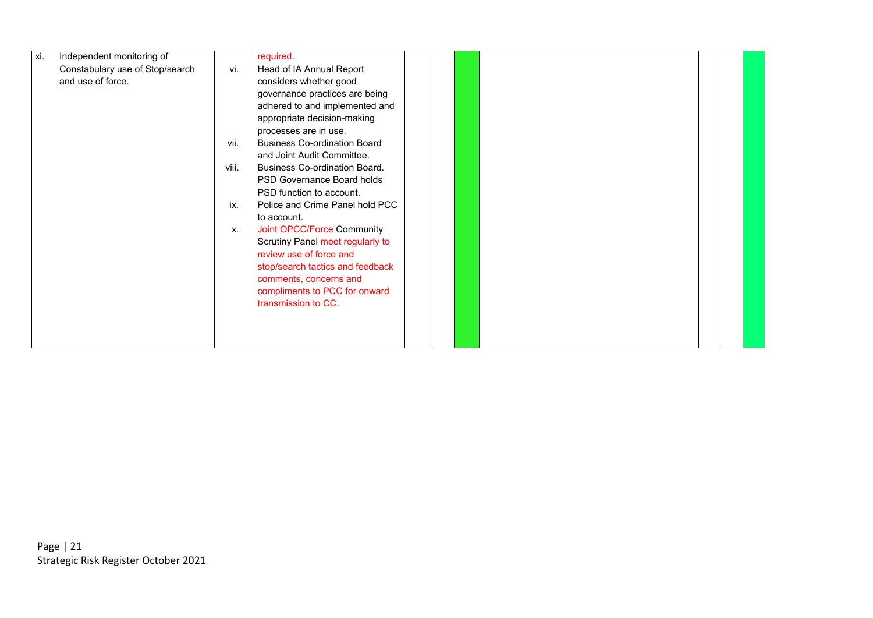| xi. | Independent monitoring of       |       | required.                            |  |  |  |  |
|-----|---------------------------------|-------|--------------------------------------|--|--|--|--|
|     | Constabulary use of Stop/search | vi.   | Head of IA Annual Report             |  |  |  |  |
|     | and use of force.               |       | considers whether good               |  |  |  |  |
|     |                                 |       | governance practices are being       |  |  |  |  |
|     |                                 |       | adhered to and implemented and       |  |  |  |  |
|     |                                 |       | appropriate decision-making          |  |  |  |  |
|     |                                 |       | processes are in use.                |  |  |  |  |
|     |                                 | vii.  | <b>Business Co-ordination Board</b>  |  |  |  |  |
|     |                                 |       | and Joint Audit Committee.           |  |  |  |  |
|     |                                 | viii. | <b>Business Co-ordination Board.</b> |  |  |  |  |
|     |                                 |       | PSD Governance Board holds           |  |  |  |  |
|     |                                 |       | PSD function to account.             |  |  |  |  |
|     |                                 | ix.   | Police and Crime Panel hold PCC      |  |  |  |  |
|     |                                 |       | to account.                          |  |  |  |  |
|     |                                 | Х.    | Joint OPCC/Force Community           |  |  |  |  |
|     |                                 |       | Scrutiny Panel meet regularly to     |  |  |  |  |
|     |                                 |       | review use of force and              |  |  |  |  |
|     |                                 |       | stop/search tactics and feedback     |  |  |  |  |
|     |                                 |       | comments, concerns and               |  |  |  |  |
|     |                                 |       | compliments to PCC for onward        |  |  |  |  |
|     |                                 |       | transmission to CC.                  |  |  |  |  |
|     |                                 |       |                                      |  |  |  |  |
|     |                                 |       |                                      |  |  |  |  |
|     |                                 |       |                                      |  |  |  |  |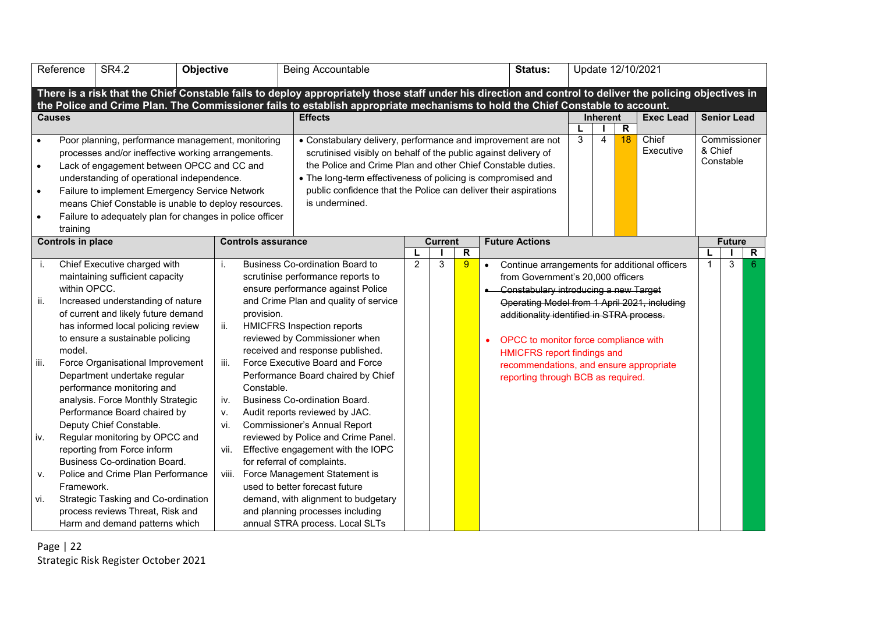|           | Reference                | SR4.2                                                                     | Objective |      |                           | <b>Being Accountable</b>                                                                                                                                                                                                                                                                  |                |                |              |  | <b>Status:</b>                                                                | Update 12/10/2021 |                 |                         |                  |                    |               |              |  |
|-----------|--------------------------|---------------------------------------------------------------------------|-----------|------|---------------------------|-------------------------------------------------------------------------------------------------------------------------------------------------------------------------------------------------------------------------------------------------------------------------------------------|----------------|----------------|--------------|--|-------------------------------------------------------------------------------|-------------------|-----------------|-------------------------|------------------|--------------------|---------------|--------------|--|
|           |                          |                                                                           |           |      |                           | There is a risk that the Chief Constable fails to deploy appropriately those staff under his direction and control to deliver the policing objectives in<br>the Police and Crime Plan. The Commissioner fails to establish appropriate mechanisms to hold the Chief Constable to account. |                |                |              |  |                                                                               |                   |                 |                         |                  |                    |               |              |  |
|           | <b>Causes</b>            |                                                                           |           |      |                           | <b>Effects</b>                                                                                                                                                                                                                                                                            |                |                |              |  |                                                                               |                   | <b>Inherent</b> |                         | <b>Exec Lead</b> | <b>Senior Lead</b> |               |              |  |
|           |                          |                                                                           |           |      |                           |                                                                                                                                                                                                                                                                                           |                |                |              |  |                                                                               |                   |                 | $\overline{\mathbf{R}}$ |                  |                    |               |              |  |
|           |                          | Poor planning, performance management, monitoring                         |           |      |                           | • Constabulary delivery, performance and improvement are not                                                                                                                                                                                                                              |                |                |              |  |                                                                               | 3                 | $\overline{4}$  | 18                      | Chief            |                    |               | Commissioner |  |
|           |                          | processes and/or ineffective working arrangements.                        |           |      |                           | scrutinised visibly on behalf of the public against delivery of                                                                                                                                                                                                                           |                |                |              |  |                                                                               |                   |                 |                         | Executive        | & Chief            |               |              |  |
| $\bullet$ |                          | Lack of engagement between OPCC and CC and                                |           |      |                           | the Police and Crime Plan and other Chief Constable duties.                                                                                                                                                                                                                               |                |                |              |  |                                                                               |                   |                 |                         |                  | Constable          |               |              |  |
|           |                          | understanding of operational independence.                                |           |      |                           | • The long-term effectiveness of policing is compromised and                                                                                                                                                                                                                              |                |                |              |  |                                                                               |                   |                 |                         |                  |                    |               |              |  |
| $\bullet$ |                          | Failure to implement Emergency Service Network                            |           |      |                           | public confidence that the Police can deliver their aspirations                                                                                                                                                                                                                           |                |                |              |  |                                                                               |                   |                 |                         |                  |                    |               |              |  |
|           |                          | means Chief Constable is unable to deploy resources.                      |           |      |                           | is undermined.                                                                                                                                                                                                                                                                            |                |                |              |  |                                                                               |                   |                 |                         |                  |                    |               |              |  |
|           |                          | Failure to adequately plan for changes in police officer                  |           |      |                           |                                                                                                                                                                                                                                                                                           |                |                |              |  |                                                                               |                   |                 |                         |                  |                    |               |              |  |
|           | training                 |                                                                           |           |      |                           |                                                                                                                                                                                                                                                                                           |                |                |              |  |                                                                               |                   |                 |                         |                  |                    |               |              |  |
|           | <b>Controls in place</b> |                                                                           |           |      | <b>Controls assurance</b> |                                                                                                                                                                                                                                                                                           |                | <b>Current</b> |              |  | <b>Future Actions</b>                                                         |                   |                 |                         |                  |                    | <b>Future</b> |              |  |
|           |                          |                                                                           |           |      |                           |                                                                                                                                                                                                                                                                                           |                |                | $\mathsf{R}$ |  |                                                                               |                   |                 |                         |                  | $\mathsf{R}$       |               |              |  |
| i.        |                          | Chief Executive charged with                                              | İ.        |      |                           | <b>Business Co-ordination Board to</b>                                                                                                                                                                                                                                                    | $\overline{2}$ | 3              | 9            |  | Continue arrangements for additional officers                                 |                   |                 |                         |                  | 1                  | 3             | 6            |  |
|           |                          | maintaining sufficient capacity                                           |           |      |                           | scrutinise performance reports to                                                                                                                                                                                                                                                         |                |                |              |  | from Government's 20,000 officers                                             |                   |                 |                         |                  |                    |               |              |  |
|           | within OPCC.             |                                                                           |           |      |                           | ensure performance against Police                                                                                                                                                                                                                                                         |                |                |              |  | • Constabulary introducing a new Target                                       |                   |                 |                         |                  |                    |               |              |  |
| ii.       |                          | Increased understanding of nature                                         |           |      |                           | and Crime Plan and quality of service                                                                                                                                                                                                                                                     |                |                |              |  | Operating Model from 1 April 2021, including                                  |                   |                 |                         |                  |                    |               |              |  |
|           |                          | of current and likely future demand<br>has informed local policing review |           | ii.  | provision.                | <b>HMICFRS Inspection reports</b>                                                                                                                                                                                                                                                         |                |                |              |  | additionality identified in STRA process.                                     |                   |                 |                         |                  |                    |               |              |  |
|           |                          | to ensure a sustainable policing                                          |           |      |                           | reviewed by Commissioner when                                                                                                                                                                                                                                                             |                |                |              |  |                                                                               |                   |                 |                         |                  |                    |               |              |  |
|           | model.                   |                                                                           |           |      |                           | received and response published.                                                                                                                                                                                                                                                          |                |                |              |  | OPCC to monitor force compliance with                                         |                   |                 |                         |                  |                    |               |              |  |
| iii.      |                          | Force Organisational Improvement                                          |           | iii. |                           | Force Executive Board and Force                                                                                                                                                                                                                                                           |                |                |              |  | <b>HMICFRS report findings and</b>                                            |                   |                 |                         |                  |                    |               |              |  |
|           |                          | Department undertake regular                                              |           |      |                           | Performance Board chaired by Chief                                                                                                                                                                                                                                                        |                |                |              |  | recommendations, and ensure appropriate<br>reporting through BCB as required. |                   |                 |                         |                  |                    |               |              |  |
|           |                          | performance monitoring and                                                |           |      | Constable.                |                                                                                                                                                                                                                                                                                           |                |                |              |  |                                                                               |                   |                 |                         |                  |                    |               |              |  |
|           |                          | analysis. Force Monthly Strategic                                         |           | iv.  |                           | <b>Business Co-ordination Board.</b>                                                                                                                                                                                                                                                      |                |                |              |  |                                                                               |                   |                 |                         |                  |                    |               |              |  |
|           |                          | Performance Board chaired by                                              |           | v.   |                           | Audit reports reviewed by JAC.                                                                                                                                                                                                                                                            |                |                |              |  |                                                                               |                   |                 |                         |                  |                    |               |              |  |
|           |                          | Deputy Chief Constable.                                                   |           | vi.  |                           | <b>Commissioner's Annual Report</b>                                                                                                                                                                                                                                                       |                |                |              |  |                                                                               |                   |                 |                         |                  |                    |               |              |  |
| iv.       |                          | Regular monitoring by OPCC and                                            |           |      |                           | reviewed by Police and Crime Panel.                                                                                                                                                                                                                                                       |                |                |              |  |                                                                               |                   |                 |                         |                  |                    |               |              |  |
|           |                          | reporting from Force inform                                               |           | vii. |                           | Effective engagement with the IOPC                                                                                                                                                                                                                                                        |                |                |              |  |                                                                               |                   |                 |                         |                  |                    |               |              |  |
|           |                          | <b>Business Co-ordination Board.</b>                                      |           |      |                           | for referral of complaints.                                                                                                                                                                                                                                                               |                |                |              |  |                                                                               |                   |                 |                         |                  |                    |               |              |  |
| v.        |                          | Police and Crime Plan Performance                                         |           |      |                           | viii. Force Management Statement is                                                                                                                                                                                                                                                       |                |                |              |  |                                                                               |                   |                 |                         |                  |                    |               |              |  |
|           | Framework.               |                                                                           |           |      |                           | used to better forecast future                                                                                                                                                                                                                                                            |                |                |              |  |                                                                               |                   |                 |                         |                  |                    |               |              |  |
| vi.       |                          | Strategic Tasking and Co-ordination                                       |           |      |                           | demand, with alignment to budgetary                                                                                                                                                                                                                                                       |                |                |              |  |                                                                               |                   |                 |                         |                  |                    |               |              |  |
|           |                          | process reviews Threat, Risk and                                          |           |      |                           | and planning processes including                                                                                                                                                                                                                                                          |                |                |              |  |                                                                               |                   |                 |                         |                  |                    |               |              |  |
|           |                          | Harm and demand patterns which                                            |           |      |                           | annual STRA process. Local SLTs                                                                                                                                                                                                                                                           |                |                |              |  |                                                                               |                   |                 |                         |                  |                    |               |              |  |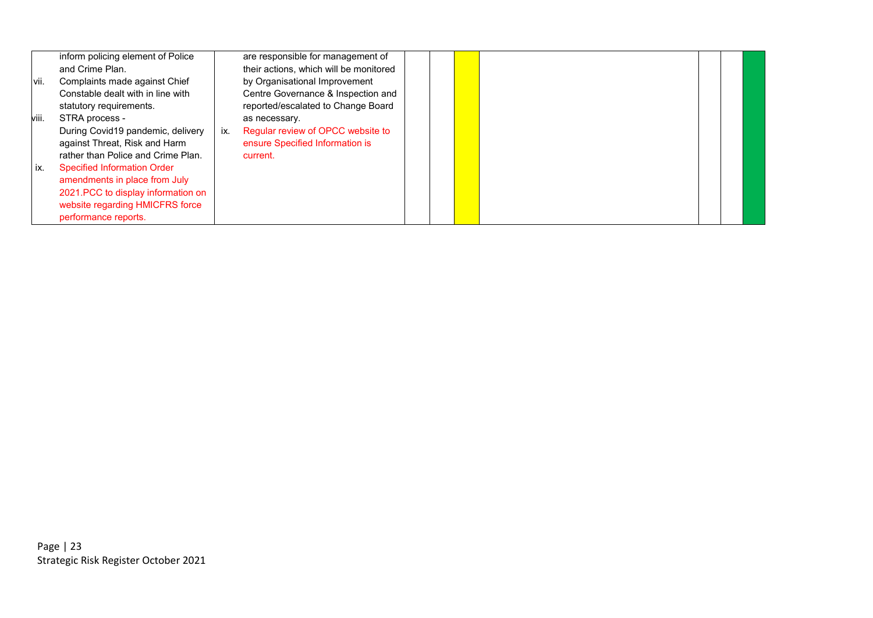|       | inform policing element of Police<br>and Crime Plan.                                                                                         |     | are responsible for management of<br>their actions, which will be monitored                               |  |  |  |  |  |
|-------|----------------------------------------------------------------------------------------------------------------------------------------------|-----|-----------------------------------------------------------------------------------------------------------|--|--|--|--|--|
| Vii.  | Complaints made against Chief<br>Constable dealt with in line with<br>statutory requirements.                                                |     | by Organisational Improvement<br>Centre Governance & Inspection and<br>reported/escalated to Change Board |  |  |  |  |  |
| viii. | STRA process -                                                                                                                               |     | as necessary.                                                                                             |  |  |  |  |  |
|       | During Covid19 pandemic, delivery<br>against Threat, Risk and Harm<br>rather than Police and Crime Plan.                                     | ix. | Regular review of OPCC website to<br>ensure Specified Information is<br>current.                          |  |  |  |  |  |
| IX.   | <b>Specified Information Order</b><br>amendments in place from July<br>2021.PCC to display information on<br>website regarding HMICFRS force |     |                                                                                                           |  |  |  |  |  |
|       | performance reports.                                                                                                                         |     |                                                                                                           |  |  |  |  |  |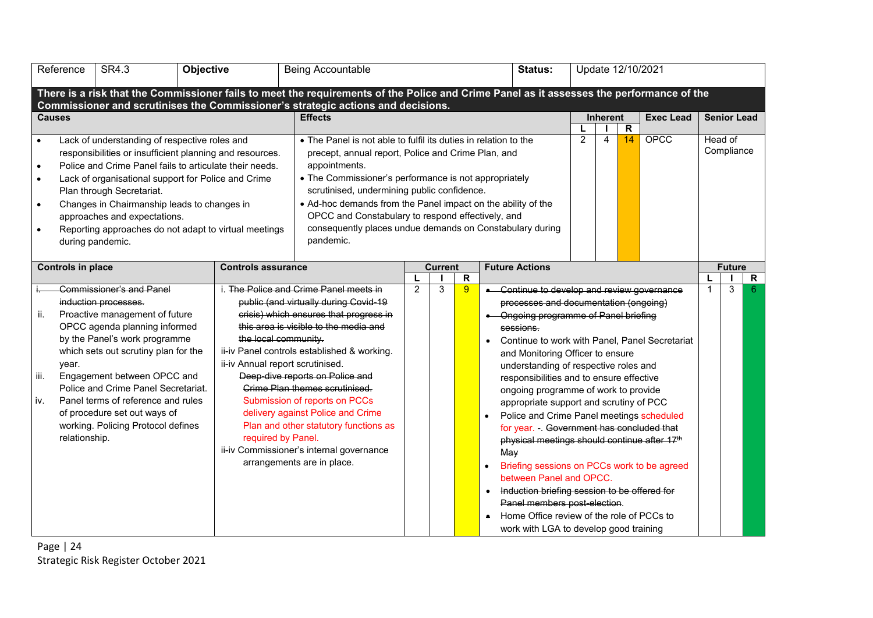| Reference<br>SR4.3<br>Objective                                                                                                                                                                                                                                                                                                                                                                                                                                                       |                                                                                | <b>Being Accountable</b>                                                                                                                                                                                                                                                                                                                                                                                                                                                              |                                                                                                                                                                                                                                                                                                                                                                                                                                                                                                                                                                                                                                                                                                                                                                                                                                                                                   |  |  |  | Status: | Update 12/10/2021 |                |    |                  |                       |  |
|---------------------------------------------------------------------------------------------------------------------------------------------------------------------------------------------------------------------------------------------------------------------------------------------------------------------------------------------------------------------------------------------------------------------------------------------------------------------------------------|--------------------------------------------------------------------------------|---------------------------------------------------------------------------------------------------------------------------------------------------------------------------------------------------------------------------------------------------------------------------------------------------------------------------------------------------------------------------------------------------------------------------------------------------------------------------------------|-----------------------------------------------------------------------------------------------------------------------------------------------------------------------------------------------------------------------------------------------------------------------------------------------------------------------------------------------------------------------------------------------------------------------------------------------------------------------------------------------------------------------------------------------------------------------------------------------------------------------------------------------------------------------------------------------------------------------------------------------------------------------------------------------------------------------------------------------------------------------------------|--|--|--|---------|-------------------|----------------|----|------------------|-----------------------|--|
| There is a risk that the Commissioner fails to meet the requirements of the Police and Crime Panel as it assesses the performance of the<br>Commissioner and scrutinises the Commissioner's strategic actions and decisions.                                                                                                                                                                                                                                                          |                                                                                |                                                                                                                                                                                                                                                                                                                                                                                                                                                                                       |                                                                                                                                                                                                                                                                                                                                                                                                                                                                                                                                                                                                                                                                                                                                                                                                                                                                                   |  |  |  |         |                   |                |    |                  |                       |  |
| <b>Causes</b>                                                                                                                                                                                                                                                                                                                                                                                                                                                                         |                                                                                | <b>Effects</b>                                                                                                                                                                                                                                                                                                                                                                                                                                                                        |                                                                                                                                                                                                                                                                                                                                                                                                                                                                                                                                                                                                                                                                                                                                                                                                                                                                                   |  |  |  |         |                   | Inherent       | R  | <b>Exec Lead</b> | <b>Senior Lead</b>    |  |
| Lack of understanding of respective roles and<br>$\bullet$<br>responsibilities or insufficient planning and resources.<br>Police and Crime Panel fails to articulate their needs.<br>$\bullet$<br>Lack of organisational support for Police and Crime<br>$\bullet$<br>Plan through Secretariat.<br>Changes in Chairmanship leads to changes in<br>$\bullet$<br>approaches and expectations.<br>Reporting approaches do not adapt to virtual meetings<br>$\bullet$<br>during pandemic. |                                                                                | • The Panel is not able to fulfil its duties in relation to the<br>precept, annual report, Police and Crime Plan, and<br>appointments.<br>• The Commissioner's performance is not appropriately<br>scrutinised, undermining public confidence.<br>• Ad-hoc demands from the Panel impact on the ability of the<br>OPCC and Constabulary to respond effectively, and<br>consequently places undue demands on Constabulary during<br>pandemic.                                          |                                                                                                                                                                                                                                                                                                                                                                                                                                                                                                                                                                                                                                                                                                                                                                                                                                                                                   |  |  |  |         | $\overline{2}$    | $\overline{4}$ | 14 | OPCC             | Head of<br>Compliance |  |
| <b>Controls in place</b>                                                                                                                                                                                                                                                                                                                                                                                                                                                              | <b>Controls assurance</b>                                                      |                                                                                                                                                                                                                                                                                                                                                                                                                                                                                       |                                                                                                                                                                                                                                                                                                                                                                                                                                                                                                                                                                                                                                                                                                                                                                                                                                                                                   |  |  |  |         |                   |                |    |                  | <b>Future</b>         |  |
| <b>Commissioner's and Panel</b><br>induction processes.<br>Proactive management of future<br>ii.<br>OPCC agenda planning informed<br>by the Panel's work programme<br>which sets out scrutiny plan for the<br>year.<br>iii.<br>Engagement between OPCC and<br>Police and Crime Panel Secretariat.<br>Panel terms of reference and rules<br>iv.<br>of procedure set out ways of<br>working. Policing Protocol defines<br>relationship.                                                 | the local community.<br>ii-iv Annual report scrutinised.<br>required by Panel. | . The Police and Crime Panel meets in<br>public (and virtually during Covid 19<br>crisis) which ensures that progress in<br>this area is visible to the media and<br>ii-iv Panel controls established & working.<br>Deep-dive reports on Police and<br><b>Crime Plan themes scrutinised.</b><br>Submission of reports on PCCs<br>delivery against Police and Crime<br>Plan and other statutory functions as<br>ii-iv Commissioner's internal governance<br>arrangements are in place. | <b>Future Actions</b><br><b>Current</b><br>$\mathsf{R}$<br>$\overline{2}$<br>3<br>• Continue to develop and review governance<br>9<br>processes and documentation (ongoing)<br>• Ongoing programme of Panel briefing<br>sessions.<br>Continue to work with Panel, Panel Secretariat<br>and Monitoring Officer to ensure<br>understanding of respective roles and<br>responsibilities and to ensure effective<br>ongoing programme of work to provide<br>appropriate support and scrutiny of PCC<br>Police and Crime Panel meetings scheduled<br>for year. -. Government has concluded that<br>physical meetings should continue after 17 <sup>th</sup><br>May<br>Briefing sessions on PCCs work to be agreed<br>between Panel and OPCC.<br>Induction briefing session to be offered for<br>$\bullet$<br>Panel members post-election.<br>Home Office review of the role of PCCs to |  |  |  |         |                   |                |    | 3                | $\mathsf{R}$<br>6     |  |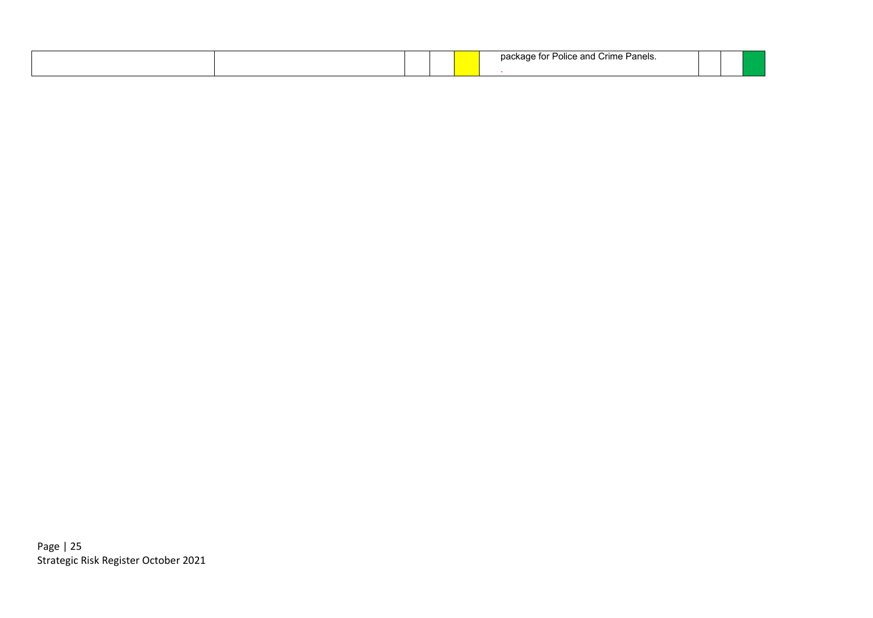|  |  | <u>া</u> Crime Panels.<br>- package for<br><u> </u> olice and<br>. . |  |  |
|--|--|----------------------------------------------------------------------|--|--|
|  |  |                                                                      |  |  |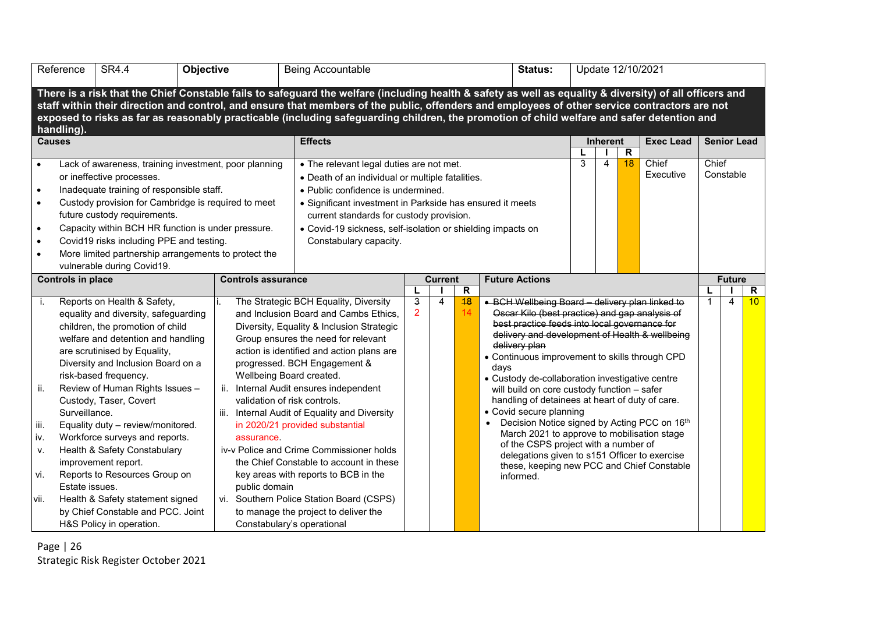| Reference                                                                  | <b>SR4.4</b>                                                                                                                                                                                                                                                                                                                                                                                                                                                                                                                                                                                                     | Objective |                                                                                                                                                                                                                                                                                                                                                                                                                                                                                                            | <b>Being Accountable</b>                                                                                                                                                                                                                                                                                                                                                                                                                                                                                                                                                                                          |                           |                |          | Status:                                                                                                                                                                                                                                                                                                                                                                                                                                                                                                                                                                                                                                                         |  |                 |             | Update 12/10/2021 |  |                    |                    |
|----------------------------------------------------------------------------|------------------------------------------------------------------------------------------------------------------------------------------------------------------------------------------------------------------------------------------------------------------------------------------------------------------------------------------------------------------------------------------------------------------------------------------------------------------------------------------------------------------------------------------------------------------------------------------------------------------|-----------|------------------------------------------------------------------------------------------------------------------------------------------------------------------------------------------------------------------------------------------------------------------------------------------------------------------------------------------------------------------------------------------------------------------------------------------------------------------------------------------------------------|-------------------------------------------------------------------------------------------------------------------------------------------------------------------------------------------------------------------------------------------------------------------------------------------------------------------------------------------------------------------------------------------------------------------------------------------------------------------------------------------------------------------------------------------------------------------------------------------------------------------|---------------------------|----------------|----------|-----------------------------------------------------------------------------------------------------------------------------------------------------------------------------------------------------------------------------------------------------------------------------------------------------------------------------------------------------------------------------------------------------------------------------------------------------------------------------------------------------------------------------------------------------------------------------------------------------------------------------------------------------------------|--|-----------------|-------------|-------------------|--|--------------------|--------------------|
| handling).                                                                 |                                                                                                                                                                                                                                                                                                                                                                                                                                                                                                                                                                                                                  |           |                                                                                                                                                                                                                                                                                                                                                                                                                                                                                                            | There is a risk that the Chief Constable fails to safeguard the welfare (including health & safety as well as equality & diversity) of all officers and<br>staff within their direction and control, and ensure that members of the public, offenders and employees of other service contractors are not<br>exposed to risks as far as reasonably practicable (including safeguarding children, the promotion of child welfare and safer detention and                                                                                                                                                            |                           |                |          |                                                                                                                                                                                                                                                                                                                                                                                                                                                                                                                                                                                                                                                                 |  |                 |             |                   |  |                    |                    |
| <b>Causes</b>                                                              |                                                                                                                                                                                                                                                                                                                                                                                                                                                                                                                                                                                                                  |           |                                                                                                                                                                                                                                                                                                                                                                                                                                                                                                            | <b>Effects</b>                                                                                                                                                                                                                                                                                                                                                                                                                                                                                                                                                                                                    |                           |                |          |                                                                                                                                                                                                                                                                                                                                                                                                                                                                                                                                                                                                                                                                 |  | <b>Inherent</b> | $\mathbf R$ | <b>Exec Lead</b>  |  | <b>Senior Lead</b> |                    |
| $\bullet$<br>$\bullet$<br>$\bullet$<br>$\bullet$<br>$\bullet$<br>$\bullet$ | Lack of awareness, training investment, poor planning<br>or ineffective processes.<br>Inadequate training of responsible staff.<br>Custody provision for Cambridge is required to meet<br>future custody requirements.<br>Capacity within BCH HR function is under pressure.<br>Covid19 risks including PPE and testing.<br>More limited partnership arrangements to protect the<br>vulnerable during Covid19.                                                                                                                                                                                                   |           | 3<br>18<br>Chief<br>4<br>• The relevant legal duties are not met.<br>Executive<br>• Death of an individual or multiple fatalities.<br>· Public confidence is undermined.<br>• Significant investment in Parkside has ensured it meets<br>current standards for custody provision.<br>• Covid-19 sickness, self-isolation or shielding impacts on<br>Constabulary capacity.<br><b>Future Actions</b><br><b>Controls assurance</b><br><b>Current</b><br>R<br>• BCH Wellbeing Board - delivery plan linked to |                                                                                                                                                                                                                                                                                                                                                                                                                                                                                                                                                                                                                   |                           |                |          |                                                                                                                                                                                                                                                                                                                                                                                                                                                                                                                                                                                                                                                                 |  |                 |             |                   |  | Chief<br>Constable |                    |
| Controls in place                                                          |                                                                                                                                                                                                                                                                                                                                                                                                                                                                                                                                                                                                                  |           |                                                                                                                                                                                                                                                                                                                                                                                                                                                                                                            |                                                                                                                                                                                                                                                                                                                                                                                                                                                                                                                                                                                                                   |                           |                |          |                                                                                                                                                                                                                                                                                                                                                                                                                                                                                                                                                                                                                                                                 |  |                 |             |                   |  | <b>Future</b>      |                    |
| Ť.<br>ii.<br>iii.<br>iv.<br>٧.<br>vi.<br>vii.                              | Reports on Health & Safety,<br>equality and diversity, safeguarding<br>children, the promotion of child<br>welfare and detention and handling<br>are scrutinised by Equality,<br>Diversity and Inclusion Board on a<br>risk-based frequency.<br>Review of Human Rights Issues -<br>Custody, Taser, Covert<br>Surveillance.<br>Equality duty - review/monitored.<br>Workforce surveys and reports.<br>Health & Safety Constabulary<br>improvement report.<br>Reports to Resources Group on<br>Estate issues.<br>Health & Safety statement signed<br>by Chief Constable and PCC. Joint<br>H&S Policy in operation. |           | Wellbeing Board created.<br>validation of risk controls.<br>assurance.<br>public domain<br>vi.                                                                                                                                                                                                                                                                                                                                                                                                             | The Strategic BCH Equality, Diversity<br>and Inclusion Board and Cambs Ethics,<br>Diversity, Equality & Inclusion Strategic<br>Group ensures the need for relevant<br>action is identified and action plans are<br>progressed. BCH Engagement &<br>Internal Audit ensures independent<br>Internal Audit of Equality and Diversity<br>in 2020/21 provided substantial<br>iv-v Police and Crime Commissioner holds<br>the Chief Constable to account in these<br>key areas with reports to BCB in the<br>Southern Police Station Board (CSPS)<br>to manage the project to deliver the<br>Constabulary's operational | $\bf 3$<br>$\overline{2}$ | $\overline{4}$ | 48<br>14 | Oscar Kilo (best practice) and gap analysis of<br>best practice feeds into local governance for<br>delivery and development of Health & wellbeing<br>delivery plan<br>• Continuous improvement to skills through CPD<br>days<br>• Custody de-collaboration investigative centre<br>will build on core custody function - safer<br>handling of detainees at heart of duty of care.<br>• Covid secure planning<br>Decision Notice signed by Acting PCC on 16th<br>March 2021 to approve to mobilisation stage<br>of the CSPS project with a number of<br>delegations given to s151 Officer to exercise<br>these, keeping new PCC and Chief Constable<br>informed. |  |                 |             |                   |  | $\overline{4}$     | $\mathsf{R}$<br>10 |

Page | 26 Strategic Risk Register October 2021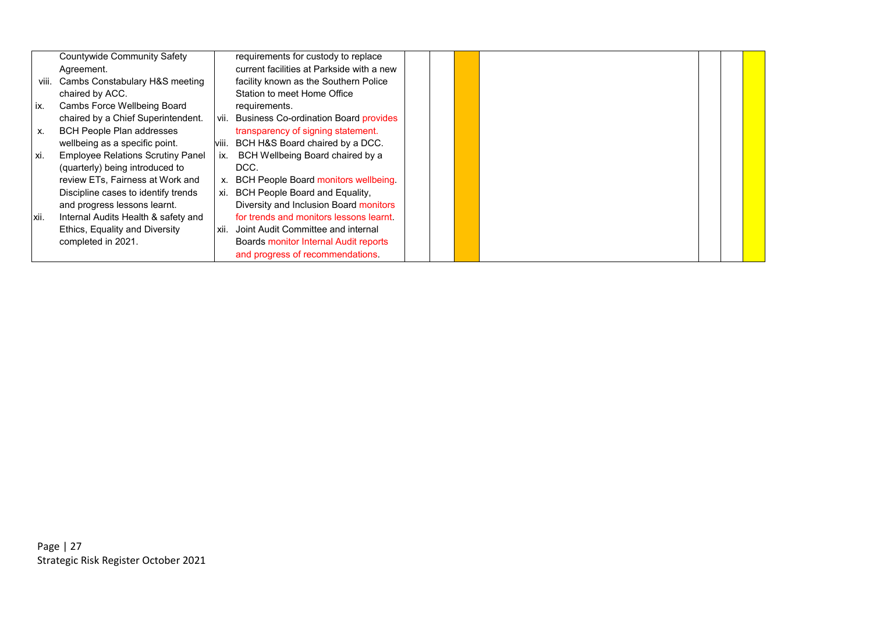|      | <b>Countywide Community Safety</b>       |       | requirements for custody to replace        |  |  |  |  |  |
|------|------------------------------------------|-------|--------------------------------------------|--|--|--|--|--|
|      | Agreement.                               |       | current facilities at Parkside with a new  |  |  |  |  |  |
|      | viii. Cambs Constabulary H&S meeting     |       | facility known as the Southern Police      |  |  |  |  |  |
|      | chaired by ACC.                          |       | Station to meet Home Office                |  |  |  |  |  |
| ix.  | Cambs Force Wellbeing Board              |       | requirements.                              |  |  |  |  |  |
|      | chaired by a Chief Superintendent.       |       | vii. Business Co-ordination Board provides |  |  |  |  |  |
| Х.   | <b>BCH People Plan addresses</b>         |       | transparency of signing statement.         |  |  |  |  |  |
|      | wellbeing as a specific point.           | viii. | BCH H&S Board chaired by a DCC.            |  |  |  |  |  |
| xi.  | <b>Employee Relations Scrutiny Panel</b> | ix.   | BCH Wellbeing Board chaired by a           |  |  |  |  |  |
|      | (quarterly) being introduced to          |       | DCC.                                       |  |  |  |  |  |
|      | review ETs, Fairness at Work and         |       | x. BCH People Board monitors wellbeing.    |  |  |  |  |  |
|      | Discipline cases to identify trends      |       | xi. BCH People Board and Equality,         |  |  |  |  |  |
|      | and progress lessons learnt.             |       | Diversity and Inclusion Board monitors     |  |  |  |  |  |
| Xii. | Internal Audits Health & safety and      |       | for trends and monitors lessons learnt.    |  |  |  |  |  |
|      | Ethics, Equality and Diversity           | xii.  | Joint Audit Committee and internal         |  |  |  |  |  |
|      | completed in 2021.                       |       | Boards monitor Internal Audit reports      |  |  |  |  |  |
|      |                                          |       | and progress of recommendations.           |  |  |  |  |  |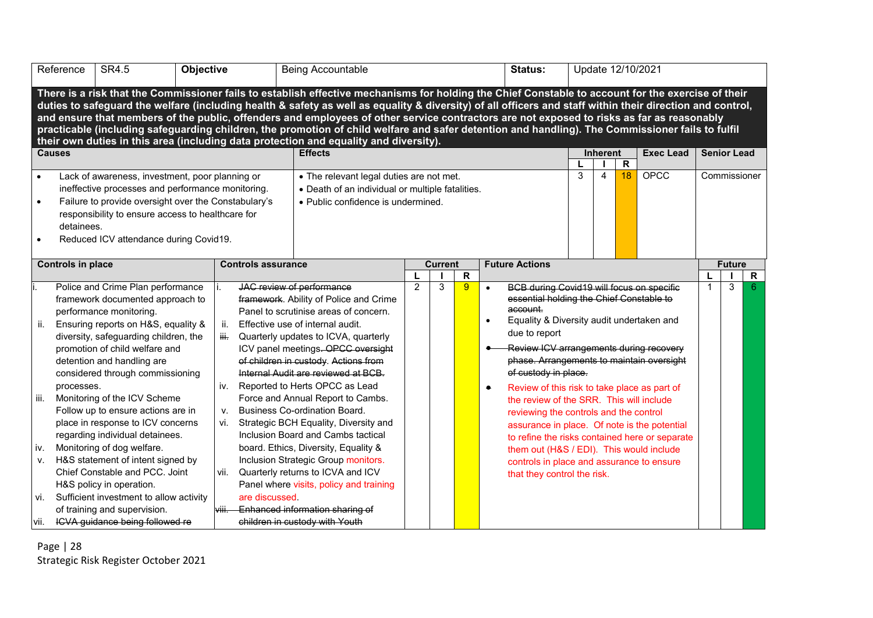|                                                                                                                                                                                                                                                                                                                                                                                                                                                                                                                                                                                                                                                                                                           | Reference     | SR4.5                                                                                                                                                                                                                                                                                                                                                                                                                         | <b>Objective</b>                                                                                                                   |                                                                                                                                                                                                                                                                                                                                                                                                                                                                                                                                 |                                         | <b>Being Accountable</b> |                |   |              |                                                                                                                                                                                                                                                                                                                                                                                      | <b>Status:</b>            |                                                                                                                                                                                                                                   | Update 12/10/2021 |  |                  |                    |   |              |
|-----------------------------------------------------------------------------------------------------------------------------------------------------------------------------------------------------------------------------------------------------------------------------------------------------------------------------------------------------------------------------------------------------------------------------------------------------------------------------------------------------------------------------------------------------------------------------------------------------------------------------------------------------------------------------------------------------------|---------------|-------------------------------------------------------------------------------------------------------------------------------------------------------------------------------------------------------------------------------------------------------------------------------------------------------------------------------------------------------------------------------------------------------------------------------|------------------------------------------------------------------------------------------------------------------------------------|---------------------------------------------------------------------------------------------------------------------------------------------------------------------------------------------------------------------------------------------------------------------------------------------------------------------------------------------------------------------------------------------------------------------------------------------------------------------------------------------------------------------------------|-----------------------------------------|--------------------------|----------------|---|--------------|--------------------------------------------------------------------------------------------------------------------------------------------------------------------------------------------------------------------------------------------------------------------------------------------------------------------------------------------------------------------------------------|---------------------------|-----------------------------------------------------------------------------------------------------------------------------------------------------------------------------------------------------------------------------------|-------------------|--|------------------|--------------------|---|--------------|
| There is a risk that the Commissioner fails to establish effective mechanisms for holding the Chief Constable to account for the exercise of their<br>duties to safeguard the welfare (including health & safety as well as equality & diversity) of all officers and staff within their direction and control,<br>and ensure that members of the public, offenders and employees of other service contractors are not exposed to risks as far as reasonably<br>practicable (including safeguarding children, the promotion of child welfare and safer detention and handling). The Commissioner fails to fulfil<br>their own duties in this area (including data protection and equality and diversity). |               |                                                                                                                                                                                                                                                                                                                                                                                                                               |                                                                                                                                    |                                                                                                                                                                                                                                                                                                                                                                                                                                                                                                                                 |                                         |                          |                |   |              |                                                                                                                                                                                                                                                                                                                                                                                      |                           |                                                                                                                                                                                                                                   |                   |  |                  |                    |   |              |
|                                                                                                                                                                                                                                                                                                                                                                                                                                                                                                                                                                                                                                                                                                           | <b>Causes</b> |                                                                                                                                                                                                                                                                                                                                                                                                                               |                                                                                                                                    |                                                                                                                                                                                                                                                                                                                                                                                                                                                                                                                                 |                                         | <b>Effects</b>           |                |   |              |                                                                                                                                                                                                                                                                                                                                                                                      |                           |                                                                                                                                                                                                                                   | <b>Inherent</b>   |  | <b>Exec Lead</b> | <b>Senior Lead</b> |   |              |
|                                                                                                                                                                                                                                                                                                                                                                                                                                                                                                                                                                                                                                                                                                           |               |                                                                                                                                                                                                                                                                                                                                                                                                                               |                                                                                                                                    |                                                                                                                                                                                                                                                                                                                                                                                                                                                                                                                                 |                                         |                          |                |   |              |                                                                                                                                                                                                                                                                                                                                                                                      | $\mathbf R$               |                                                                                                                                                                                                                                   |                   |  |                  |                    |   |              |
| Lack of awareness, investment, poor planning or<br>ineffective processes and performance monitoring.<br>Failure to provide oversight over the Constabulary's<br>$\bullet$<br>responsibility to ensure access to healthcare for<br>detainees.<br>Reduced ICV attendance during Covid19.                                                                                                                                                                                                                                                                                                                                                                                                                    |               |                                                                                                                                                                                                                                                                                                                                                                                                                               | • The relevant legal duties are not met.<br>• Death of an individual or multiple fatalities.<br>• Public confidence is undermined. |                                                                                                                                                                                                                                                                                                                                                                                                                                                                                                                                 |                                         |                          |                |   | 3            | 4                                                                                                                                                                                                                                                                                                                                                                                    | 18                        | OPCC                                                                                                                                                                                                                              |                   |  | Commissioner     |                    |   |              |
| <b>Controls in place</b><br><b>Controls assurance</b>                                                                                                                                                                                                                                                                                                                                                                                                                                                                                                                                                                                                                                                     |               |                                                                                                                                                                                                                                                                                                                                                                                                                               |                                                                                                                                    |                                                                                                                                                                                                                                                                                                                                                                                                                                                                                                                                 | <b>Future Actions</b><br><b>Current</b> |                          |                |   |              |                                                                                                                                                                                                                                                                                                                                                                                      |                           |                                                                                                                                                                                                                                   |                   |  | <b>Future</b>    |                    |   |              |
|                                                                                                                                                                                                                                                                                                                                                                                                                                                                                                                                                                                                                                                                                                           |               |                                                                                                                                                                                                                                                                                                                                                                                                                               |                                                                                                                                    |                                                                                                                                                                                                                                                                                                                                                                                                                                                                                                                                 |                                         |                          |                |   | $\mathsf{R}$ |                                                                                                                                                                                                                                                                                                                                                                                      |                           |                                                                                                                                                                                                                                   |                   |  |                  |                    |   | $\mathsf{R}$ |
| ii.                                                                                                                                                                                                                                                                                                                                                                                                                                                                                                                                                                                                                                                                                                       |               | Police and Crime Plan performance<br>framework documented approach to<br>performance monitoring.<br>Ensuring reports on H&S, equality &<br>diversity, safeguarding children, the<br>promotion of child welfare and<br>detention and handling are                                                                                                                                                                              |                                                                                                                                    | <b>JAC review of performance</b><br>framework. Ability of Police and Crime<br>Panel to scrutinise areas of concern.<br>Effective use of internal audit.<br>ii.<br>Quarterly updates to ICVA, quarterly<br>iii.<br>ICV panel meetings. OPCC oversight<br>of children in custody. Actions from                                                                                                                                                                                                                                    |                                         |                          | $\mathfrak{p}$ | 3 | 9            | $\bullet$<br>$\bullet$                                                                                                                                                                                                                                                                                                                                                               | account.<br>due to report | <b>BCB during Covid19 will focus on specific</b><br>essential holding the Chief Constable to<br>Equality & Diversity audit undertaken and<br>Review ICV arrangements during recovery<br>phase. Arrangements to maintain oversight |                   |  |                  |                    | 3 | 6.           |
| iii.<br>iv.<br>V.<br>vi.<br>vii.                                                                                                                                                                                                                                                                                                                                                                                                                                                                                                                                                                                                                                                                          | processes.    | considered through commissioning<br>Monitoring of the ICV Scheme<br>Follow up to ensure actions are in<br>place in response to ICV concerns<br>regarding individual detainees.<br>Monitoring of dog welfare.<br>H&S statement of intent signed by<br>Chief Constable and PCC. Joint<br>H&S policy in operation.<br>Sufficient investment to allow activity<br>of training and supervision.<br>ICVA quidance being followed re |                                                                                                                                    | Internal Audit are reviewed at BCB.<br>iv. Reported to Herts OPCC as Lead<br>Force and Annual Report to Cambs.<br><b>Business Co-ordination Board.</b><br>$V_{\cdot}$<br>Strategic BCH Equality, Diversity and<br>vi.<br>Inclusion Board and Cambs tactical<br>board. Ethics, Diversity, Equality &<br>Inclusion Strategic Group monitors.<br>Quarterly returns to ICVA and ICV<br>vii.<br>Panel where visits, policy and training<br>are discussed.<br>wiii. Enhanced information sharing of<br>children in custody with Youth |                                         |                          |                |   | $\bullet$    | of custody in place.<br>Review of this risk to take place as part of<br>the review of the SRR. This will include<br>reviewing the controls and the control<br>assurance in place. Of note is the potential<br>to refine the risks contained here or separate<br>them out (H&S / EDI). This would include<br>controls in place and assurance to ensure<br>that they control the risk. |                           |                                                                                                                                                                                                                                   |                   |  |                  |                    |   |              |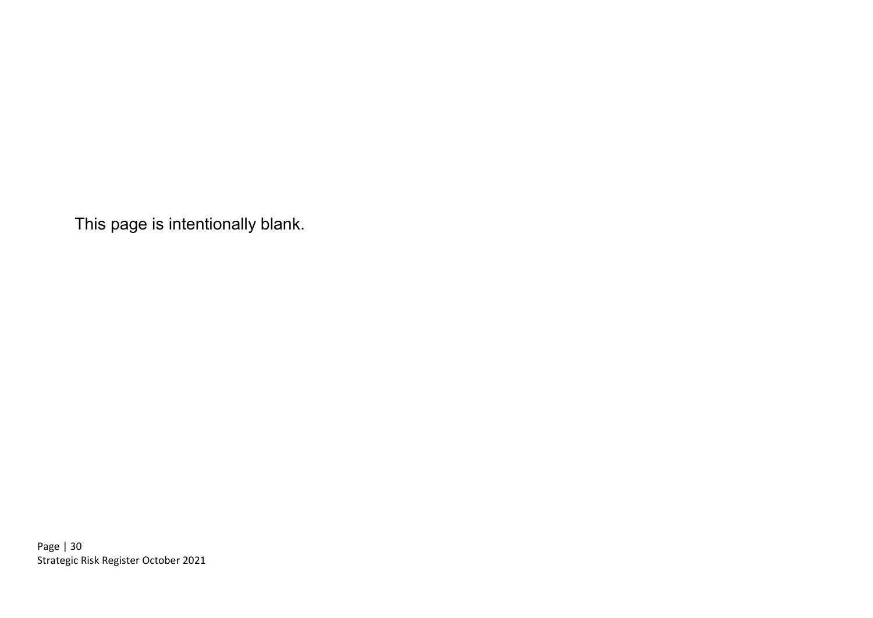This page is intentionally blank.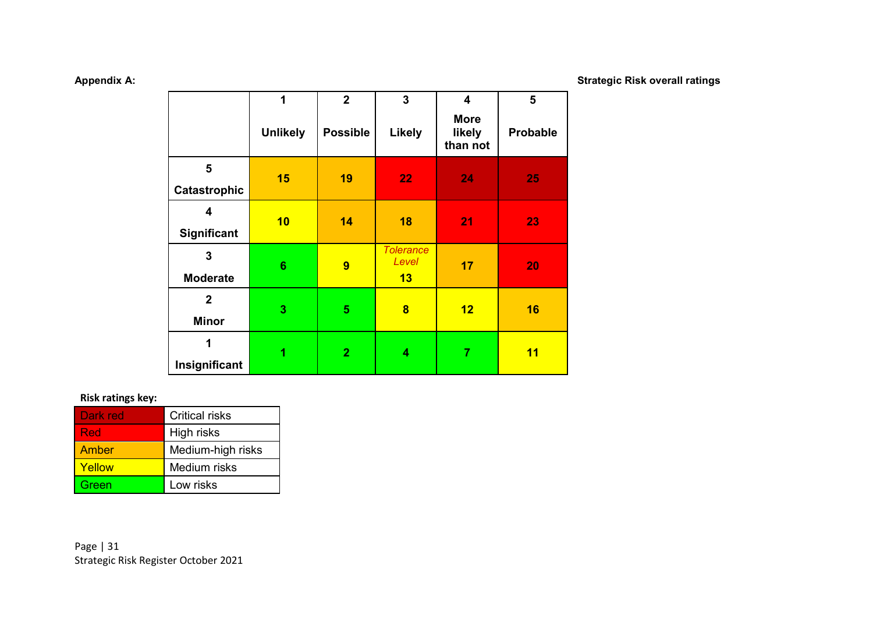**Appendix A: Strategic Risk overall ratings**

|                 | 1               | $\overline{2}$  | 3                         | 4                                 | 5               |  |  |
|-----------------|-----------------|-----------------|---------------------------|-----------------------------------|-----------------|--|--|
|                 | <b>Unlikely</b> | <b>Possible</b> | <b>Likely</b>             | <b>More</b><br>likely<br>than not | <b>Probable</b> |  |  |
| 5               | 15              | 19              | 22                        | 24                                | 25              |  |  |
| Catastrophic    |                 |                 |                           |                                   |                 |  |  |
| 4               | 10              | 14              | 18                        | 21                                | 23              |  |  |
| Significant     |                 |                 |                           |                                   |                 |  |  |
| 3               | $6\phantom{1}$  | 9               | <b>Tolerance</b><br>Level | 17                                | 20              |  |  |
| <b>Moderate</b> |                 |                 | 13                        |                                   |                 |  |  |
| $\overline{2}$  | 3               | 5               | 8                         | 12                                | 16              |  |  |
| <b>Minor</b>    |                 |                 |                           |                                   |                 |  |  |
| 1               | 1               | $\overline{2}$  | 4                         | 7                                 | 11              |  |  |
| Insignificant   |                 |                 |                           |                                   |                 |  |  |

# **Risk ratings key:**

| l Dark red    | <b>Critical risks</b> |
|---------------|-----------------------|
| l Red         | High risks            |
| <b>Amber</b>  | Medium-high risks     |
| <b>Yellow</b> | Medium risks          |
| l Green       | Low risks             |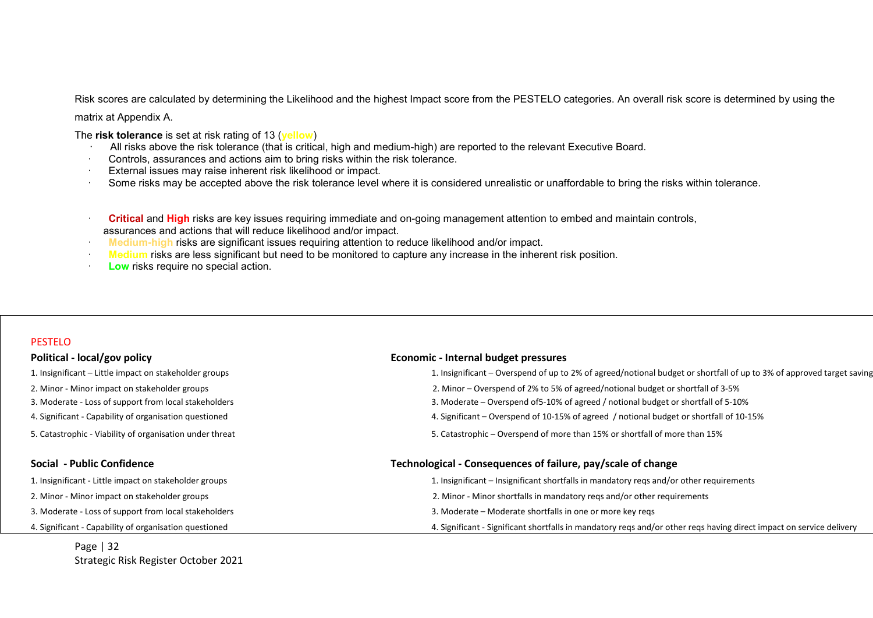Risk scores are calculated by determining the Likelihood and the highest Impact score from the PESTELO categories. An overall risk score is determined by using the

matrix at Appendix A.

The **risk tolerance** is set at risk rating of 13 (**yellow**)

- All risks above the risk tolerance (that is critical, high and medium-high) are reported to the relevant Executive Board.
- · Controls, assurances and actions aim to bring risks within the risk tolerance.
- · External issues may raise inherent risk likelihood or impact.
- · Some risks may be accepted above the risk tolerance level where it is considered unrealistic or unaffordable to bring the risks within tolerance.
- · **Critical** and **High** risks are key issues requiring immediate and on-going management attention to embed and maintain controls, assurances and actions that will reduce likelihood and/or impact.
- **Medium-high risks are significant issues requiring attention to reduce likelihood and/or impact.**
- **Medium** risks are less significant but need to be monitored to capture any increase in the inherent risk position.
- **Low** risks require no special action.

### PESTELO

| Political - local/gov policy                             | Economic - Internal budget pressures                                                                                  |  |  |  |  |  |
|----------------------------------------------------------|-----------------------------------------------------------------------------------------------------------------------|--|--|--|--|--|
| 1. Insignificant - Little impact on stakeholder groups   | 1. Insignificant – Overspend of up to 2% of agreed/notional budget or shortfall of up to 3% of approved target saving |  |  |  |  |  |
| 2. Minor - Minor impact on stakeholder groups            | 2. Minor – Overspend of 2% to 5% of agreed/notional budget or shortfall of 3-5%                                       |  |  |  |  |  |
| 3. Moderate - Loss of support from local stakeholders    | 3. Moderate – Overspend of 5-10% of agreed / notional budget or shortfall of 5-10%                                    |  |  |  |  |  |
| 4. Significant - Capability of organisation questioned   | 4. Significant – Overspend of 10-15% of agreed / notional budget or shortfall of 10-15%                               |  |  |  |  |  |
| 5. Catastrophic - Viability of organisation under threat | 5. Catastrophic – Overspend of more than 15% or shortfall of more than 15%                                            |  |  |  |  |  |
| Social - Public Confidence                               | Technological - Consequences of failure, pay/scale of change                                                          |  |  |  |  |  |
| 1. Insignificant - Little impact on stakeholder groups   | 1. Insignificant – Insignificant shortfalls in mandatory regs and/or other requirements                               |  |  |  |  |  |
| 2. Minor - Minor impact on stakeholder groups            | 2. Minor - Minor shortfalls in mandatory regs and/or other requirements                                               |  |  |  |  |  |
| 3. Moderate - Loss of support from local stakeholders    | 3. Moderate – Moderate shortfalls in one or more key regs                                                             |  |  |  |  |  |
| 4. Significant - Capability of organisation questioned   | 4. Significant - Significant shortfalls in mandatory regs and/or other regs having direct impact on service delivery  |  |  |  |  |  |